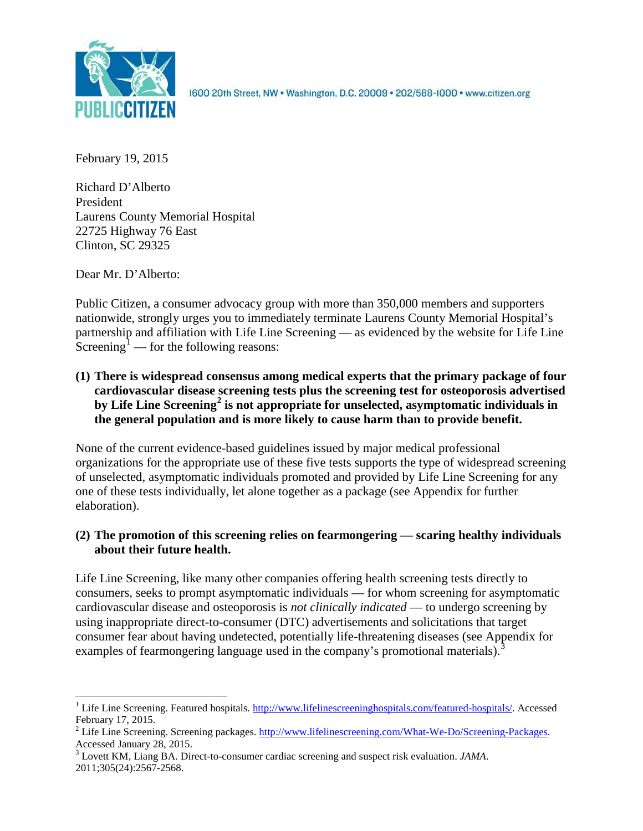

1600 20th Street, NW . Washington, D.C. 20009 . 202/588-1000 . www.citizen.org

February 19, 2015

Richard D'Alberto President Laurens County Memorial Hospital 22725 Highway 76 East Clinton, SC 29325

Dear Mr. D'Alberto:

Public Citizen, a consumer advocacy group with more than 350,000 members and supporters nationwide, strongly urges you to immediately terminate Laurens County Memorial Hospital's partnership and affiliation with Life Line Screening — as evidenced by the website for Life Line Screening<sup>[1](#page-0-0)</sup> — for the following reasons:

**(1) There is widespread consensus among medical experts that the primary package of four cardiovascular disease screening tests plus the screening test for osteoporosis advertised by Life Line Screening[2](#page-0-1) is not appropriate for unselected, asymptomatic individuals in the general population and is more likely to cause harm than to provide benefit.**

None of the current evidence-based guidelines issued by major medical professional organizations for the appropriate use of these five tests supports the type of widespread screening of unselected, asymptomatic individuals promoted and provided by Life Line Screening for any one of these tests individually, let alone together as a package (see Appendix for further elaboration).

# **(2) The promotion of this screening relies on fearmongering — scaring healthy individuals about their future health.**

Life Line Screening, like many other companies offering health screening tests directly to consumers, seeks to prompt asymptomatic individuals — for whom screening for asymptomatic cardiovascular disease and osteoporosis is *not clinically indicated* — to undergo screening by using inappropriate direct-to-consumer (DTC) advertisements and solicitations that target consumer fear about having undetected, potentially life-threatening diseases (see Appendix for examples of fearmongering language used in the company's promotional materials).<sup>[3](#page-0-2)</sup>

<span id="page-0-0"></span><sup>&</sup>lt;sup>1</sup> Life Line Screening. Featured hospitals. [http://www.lifelinescreeninghospitals.com/featured-hospitals/.](http://www.lifelinescreeninghospitals.com/featured-hospitals/) Accessed

<span id="page-0-1"></span>February 17, 2015.<br><sup>2</sup> Life Line Screening. Screening packages. [http://www.lifelinescreening.com/What-We-Do/Screening-Packages.](http://www.lifelinescreening.com/What-We-Do/Screening-Packages)<br>Accessed January 28, 2015.

<span id="page-0-2"></span><sup>&</sup>lt;sup>3</sup> Lovett KM, Liang BA. Direct-to-consumer cardiac screening and suspect risk evaluation. *JAMA*. 2011;305(24):2567-2568.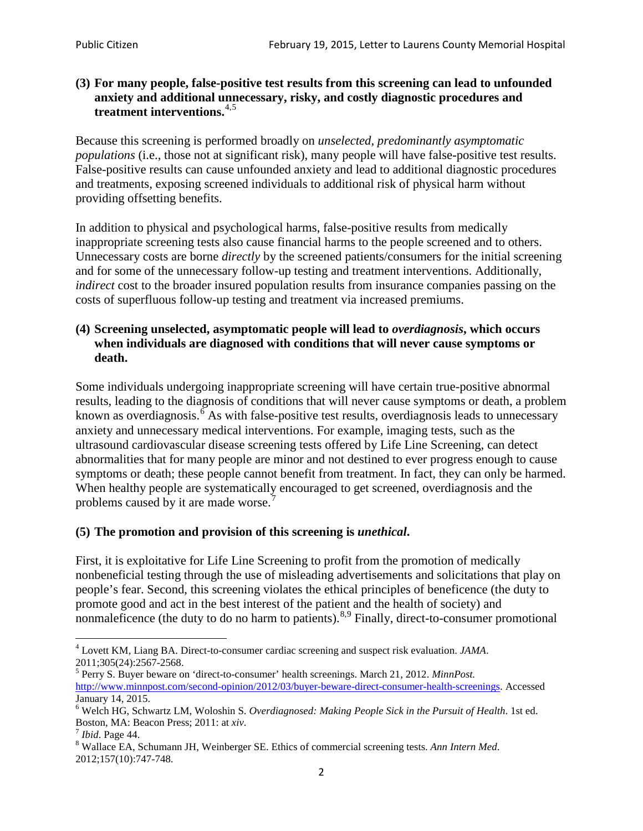#### **(3) For many people, false-positive test results from this screening can lead to unfounded anxiety and additional unnecessary, risky, and costly diagnostic procedures and treatment interventions.**[4](#page-1-0),[5](#page-1-1)

Because this screening is performed broadly on *unselected, predominantly asymptomatic populations* (i.e., those not at significant risk), many people will have false**-**positive test results. False-positive results can cause unfounded anxiety and lead to additional diagnostic procedures and treatments, exposing screened individuals to additional risk of physical harm without providing offsetting benefits.

In addition to physical and psychological harms, false-positive results from medically inappropriate screening tests also cause financial harms to the people screened and to others. Unnecessary costs are borne *directly* by the screened patients/consumers for the initial screening and for some of the unnecessary follow-up testing and treatment interventions. Additionally, *indirect* cost to the broader insured population results from insurance companies passing on the costs of superfluous follow-up testing and treatment via increased premiums.

#### **(4) Screening unselected, asymptomatic people will lead to** *overdiagnosis***, which occurs when individuals are diagnosed with conditions that will never cause symptoms or death.**

Some individuals undergoing inappropriate screening will have certain true-positive abnormal results, leading to the diagnosis of conditions that will never cause symptoms or death, a problem known as overdiagnosis.<sup>[6](#page-1-2)</sup> As with false-positive test results, overdiagnosis leads to unnecessary anxiety and unnecessary medical interventions. For example, imaging tests, such as the ultrasound cardiovascular disease screening tests offered by Life Line Screening, can detect abnormalities that for many people are minor and not destined to ever progress enough to cause symptoms or death; these people cannot benefit from treatment. In fact, they can only be harmed. When healthy people are systematically encouraged to get screened, overdiagnosis and the problems caused by it are made worse.<sup>[7](#page-1-3)</sup>

## **(5) The promotion and provision of this screening is** *unethical***.**

First, it is exploitative for Life Line Screening to profit from the promotion of medically nonbeneficial testing through the use of misleading advertisements and solicitations that play on people's fear. Second, this screening violates the ethical principles of beneficence (the duty to promote good and act in the best interest of the patient and the health of society) and nonmaleficence (the duty to do no harm to patients).<sup>[8](#page-1-4),[9](#page-1-5)</sup> Finally, direct-to-consumer promotional

<span id="page-1-4"></span>2012;157(10):747-748.

<span id="page-1-5"></span><span id="page-1-0"></span><sup>4</sup> Lovett KM, Liang BA. Direct-to-consumer cardiac screening and suspect risk evaluation. *JAMA*.

<span id="page-1-1"></span><sup>2011;305(24):2567-2568.</sup> <sup>5</sup> Perry S. Buyer beware on 'direct-to-consumer' health screenings. March 21, 2012. *MinnPost.*  [http://www.minnpost.com/second-opinion/2012/03/buyer-beware-direct-consumer-health-screenings.](http://www.minnpost.com/second-opinion/2012/03/buyer-beware-direct-consumer-health-screenings) Accessed January 14, 2015.

<span id="page-1-2"></span><sup>6</sup> Welch HG, Schwartz LM, Woloshin S. *Overdiagnosed: Making People Sick in the Pursuit of Health*. 1st ed. Boston, MA: Beacon Press; 2011: at *xiv*.<br><sup>7</sup> *Ibid*. Page 44.<br><sup>8</sup> Wallace EA, Schumann JH, Weinberger SE. Ethics of commercial screening tests. *Ann Intern Med*.

<span id="page-1-3"></span>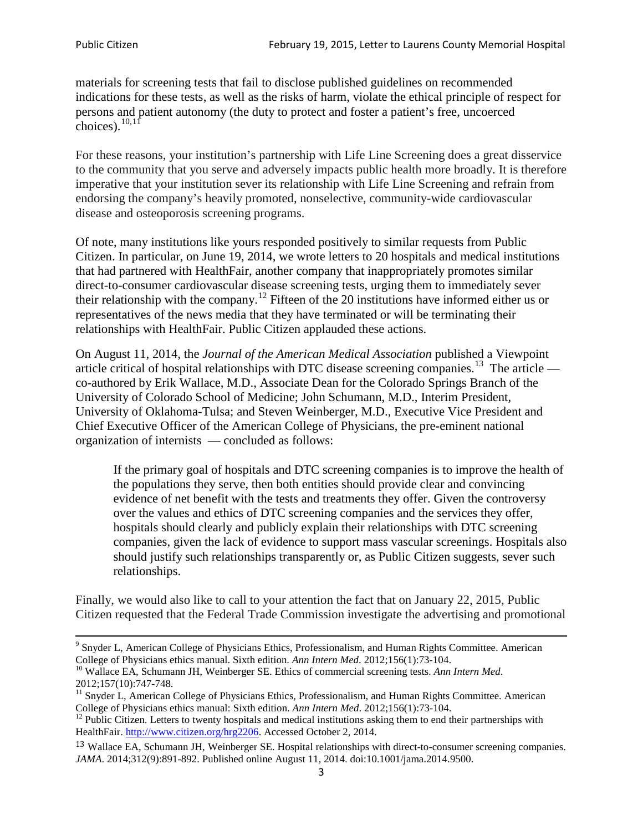materials for screening tests that fail to disclose published guidelines on recommended indications for these tests, as well as the risks of harm, violate the ethical principle of respect for persons and patient autonomy (the duty to protect and foster a patient's free, uncoerced choices). $\frac{10,11}{10,11}$  $\frac{10,11}{10,11}$  $\frac{10,11}{10,11}$  $\frac{10,11}{10,11}$ 

For these reasons, your institution's partnership with Life Line Screening does a great disservice to the community that you serve and adversely impacts public health more broadly. It is therefore imperative that your institution sever its relationship with Life Line Screening and refrain from endorsing the company's heavily promoted, nonselective, community**-**wide cardiovascular disease and osteoporosis screening programs.

Of note, many institutions like yours responded positively to similar requests from Public Citizen. In particular, on June 19, 2014, we wrote letters to 20 hospitals and medical institutions that had partnered with HealthFair, another company that inappropriately promotes similar direct-to-consumer cardiovascular disease screening tests, urging them to immediately sever their relationship with the company. [12](#page-2-2) Fifteen of the 20 institutions have informed either us or representatives of the news media that they have terminated or will be terminating their relationships with HealthFair. Public Citizen applauded these actions.

On August 11, 2014, the *Journal of the American Medical Association* published a Viewpoint article critical of hospital relationships with DTC disease screening companies.<sup>13</sup> The article co-authored by Erik Wallace, M.D., Associate Dean for the Colorado Springs Branch of the University of Colorado School of Medicine; John Schumann, M.D., Interim President, University of Oklahoma-Tulsa; and Steven Weinberger, M.D., Executive Vice President and Chief Executive Officer of the American College of Physicians, the pre**-**eminent national organization of internists — concluded as follows:

If the primary goal of hospitals and DTC screening companies is to improve the health of the populations they serve, then both entities should provide clear and convincing evidence of net benefit with the tests and treatments they offer. Given the controversy over the values and ethics of DTC screening companies and the services they offer, hospitals should clearly and publicly explain their relationships with DTC screening companies, given the lack of evidence to support mass vascular screenings. Hospitals also should justify such relationships transparently or, as Public Citizen suggests, sever such relationships.

Finally, we would also like to call to your attention the fact that on January 22, 2015, Public Citizen requested that the Federal Trade Commission investigate the advertising and promotional

<sup>&</sup>lt;sup>9</sup> Snyder L, American College of Physicians Ethics, Professionalism, and Human Rights Committee. American College of Physicians ethics manual. Sixth edition. Ann Intern Med. 2012;156(1):73-104.

<span id="page-2-0"></span><sup>&</sup>lt;sup>10</sup> Wallace EA, Schumann JH, Weinberger SE. Ethics of commercial screening tests. *Ann Intern Med*. 2012;157(10):747-748.

<span id="page-2-1"></span> $11$  Snyder L, American College of Physicians Ethics, Professionalism, and Human Rights Committee. American College of Physicians ethics manual: Sixth edition. *Ann Intern Med*. 2012;156(1):73-104.<br><sup>12</sup> Public Citizen. Letters to twenty hospitals and medical institutions asking them to end their partnerships with

<span id="page-2-2"></span>HealthFair. [http://www.citizen.org/hrg2206.](http://www.citizen.org/hrg2206) Accessed October 2, 2014.

<span id="page-2-3"></span><sup>13</sup> Wallace EA, Schumann JH, Weinberger SE. Hospital relationships with direct-to-consumer screening companies. *JAMA*. 2014;312(9):891-892. Published online August 11, 2014. doi:10.1001/jama.2014.9500.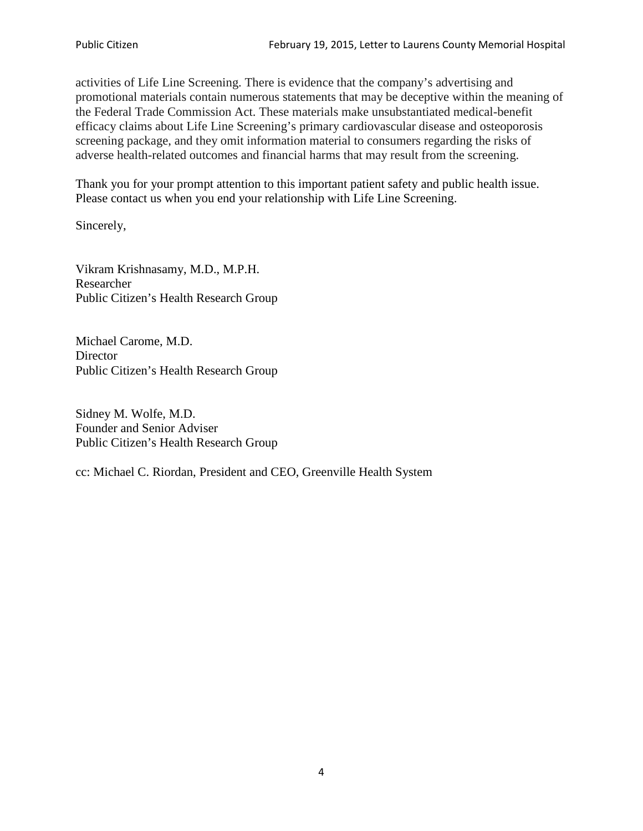activities of Life Line Screening. There is evidence that the company's advertising and promotional materials contain numerous statements that may be deceptive within the meaning of the Federal Trade Commission Act. These materials make unsubstantiated medical-benefit efficacy claims about Life Line Screening's primary cardiovascular disease and osteoporosis screening package, and they omit information material to consumers regarding the risks of adverse health-related outcomes and financial harms that may result from the screening.

Thank you for your prompt attention to this important patient safety and public health issue. Please contact us when you end your relationship with Life Line Screening.

Sincerely,

Vikram Krishnasamy, M.D., M.P.H. Researcher Public Citizen's Health Research Group

Michael Carome, M.D. **Director** Public Citizen's Health Research Group

Sidney M. Wolfe, M.D. Founder and Senior Adviser Public Citizen's Health Research Group

cc: Michael C. Riordan, President and CEO, Greenville Health System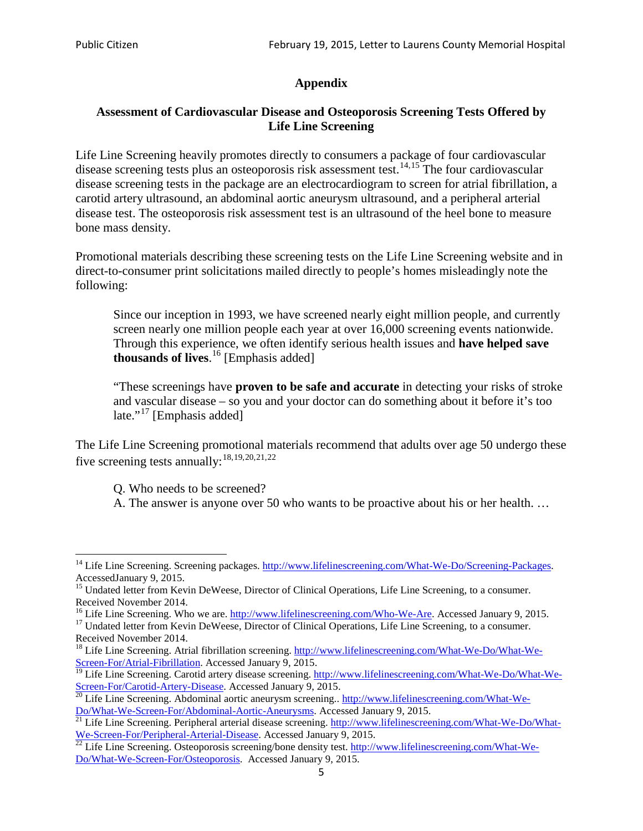# **Appendix**

## **Assessment of Cardiovascular Disease and Osteoporosis Screening Tests Offered by Life Line Screening**

Life Line Screening heavily promotes directly to consumers a package of four cardiovascular disease screening tests plus an osteoporosis risk assessment test.<sup>[14](#page-4-0),[15](#page-4-1)</sup> The four cardiovascular disease screening tests in the package are an electrocardiogram to screen for atrial fibrillation, a carotid artery ultrasound, an abdominal aortic aneurysm ultrasound, and a peripheral arterial disease test. The osteoporosis risk assessment test is an ultrasound of the heel bone to measure bone mass density.

Promotional materials describing these screening tests on the Life Line Screening website and in direct-to-consumer print solicitations mailed directly to people's homes misleadingly note the following:

Since our inception in 1993, we have screened nearly eight million people, and currently screen nearly one million people each year at over 16,000 screening events nationwide. Through this experience, we often identify serious health issues and **have helped save thousands of lives**. [16](#page-4-2) [Emphasis added]

"These screenings have **proven to be safe and accurate** in detecting your risks of stroke and vascular disease – so you and your doctor can do something about it before it's too late."<sup>[17](#page-4-3)</sup> [Emphasis added]

The Life Line Screening promotional materials recommend that adults over age 50 undergo these five screening tests annually:<sup>[18](#page-4-4),[19,](#page-4-5)[20,](#page-4-6)[21](#page-4-7),[22](#page-4-8)</sup>

Q. Who needs to be screened?

A. The answer is anyone over 50 who wants to be proactive about his or her health. …

<span id="page-4-0"></span><sup>&</sup>lt;sup>14</sup> Life Line Screening. Screening packages. [http://www.lifelinescreening.com/What-We-Do/Screening-Packages.](http://www.lifelinescreening.com/What-We-Do/Screening-Packages) AccessedJanuary 9, 2015.

<span id="page-4-1"></span><sup>&</sup>lt;sup>15</sup> Undated letter from Kevin DeWeese, Director of Clinical Operations, Life Line Screening, to a consumer.

Received November 2014.<br><sup>16</sup> Life Line Screening. Who we are. http://www.lifelinescreening.com/Who-We-Are. Accessed January 9, 2015.

<span id="page-4-3"></span><span id="page-4-2"></span><sup>&</sup>lt;sup>17</sup> Undated letter from Kevin DeWeese, Director of Clinical Operations, Life Line Screening, to a consumer. Received November 2014.

<span id="page-4-4"></span><sup>&</sup>lt;sup>18</sup> Life Line Screening. Atrial fibrillation screening. [http://www.lifelinescreening.com/What-We-Do/What-We-](http://www.lifelinescreening.com/What-We-Do/What-We-Screen-For/Atrial-Fibrillation)[Screen-For/Atrial-Fibrillation.](http://www.lifelinescreening.com/What-We-Do/What-We-Screen-For/Atrial-Fibrillation) Accessed January 9, 2015.

<sup>&</sup>lt;sup>19</sup> Life Line Screening. Carotid artery disease screening. [http://www.lifelinescreening.com/What-We-Do/What-We-](http://www.lifelinescreening.com/What-We-Do/What-We-Screen-For/Carotid-Artery-Disease)

<span id="page-4-6"></span><span id="page-4-5"></span>[Screen-For/Carotid-Artery-Disease.](http://www.lifelinescreening.com/What-We-Do/What-We-Screen-For/Carotid-Artery-Disease) Accessed January 9, 2015.<br><sup>20</sup> Life Line Screening. Abdominal aortic aneurysm screening.. http://www.lifelinescreening.com/What-We-Do/What-We-Do/What-We-Screen-For/Abdominal-Aortic-Aneury

<span id="page-4-7"></span><sup>&</sup>lt;sup>21</sup> Life Line Screening. Peripheral arterial disease screening. [http://www.lifelinescreening.com/What-We-Do/What-](http://www.lifelinescreening.com/What-We-Do/What-We-Screen-For/Peripheral-Arterial-Disease)

<span id="page-4-8"></span>[We-Screen-For/Peripheral-Arterial-Disease.](http://www.lifelinescreening.com/What-We-Do/What-We-Screen-For/Peripheral-Arterial-Disease) Accessed January 9, 2015.<br><sup>22</sup> Life Line Screening. Osteoporosis screening/bone density test. [http://www.lifelinescreening.com/What-We-](http://www.lifelinescreening.com/What-We-Do/What-We-Screen-For/Osteoporosis)[Do/What-We-Screen-For/Osteoporosis.](http://www.lifelinescreening.com/What-We-Do/What-We-Screen-For/Osteoporosis) Accessed January 9, 2015.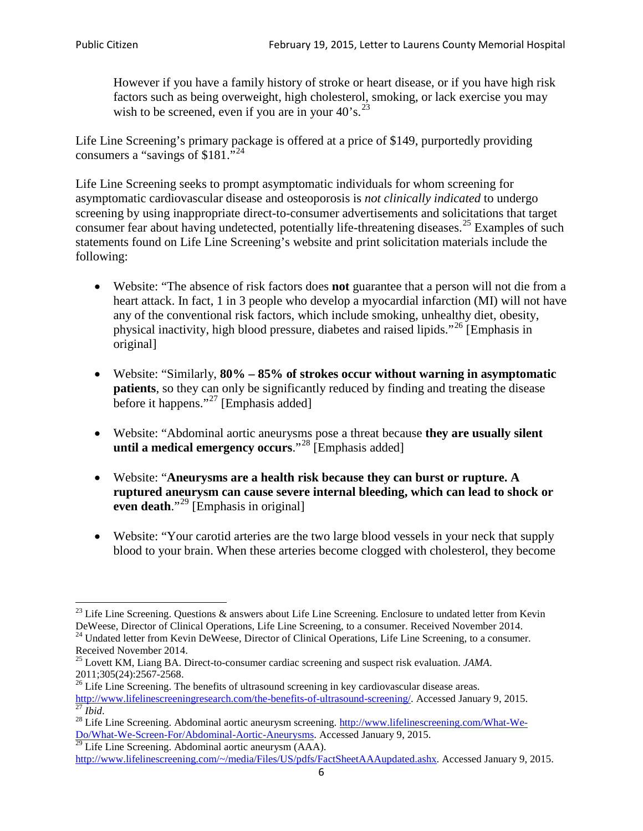However if you have a family history of stroke or heart disease, or if you have high risk factors such as being overweight, high cholesterol, smoking, or lack exercise you may wish to be screened, even if you are in your  $40^\circ$ s.<sup>[23](#page-5-0)</sup>

Life Line Screening's primary package is offered at a price of \$149, purportedly providing consumers a "savings of \$181."[24](#page-5-1)

Life Line Screening seeks to prompt asymptomatic individuals for whom screening for asymptomatic cardiovascular disease and osteoporosis is *not clinically indicated* to undergo screening by using inappropriate direct-to-consumer advertisements and solicitations that target consumer fear about having undetected, potentially life-threatening diseases.<sup>[25](#page-5-2)</sup> Examples of such statements found on Life Line Screening's website and print solicitation materials include the following:

- Website: "The absence of risk factors does **not** guarantee that a person will not die from a heart attack. In fact, 1 in 3 people who develop a myocardial infarction (MI) will not have any of the conventional risk factors, which include smoking, unhealthy diet, obesity, physical inactivity, high blood pressure, diabetes and raised lipids."[26](#page-5-3) [Emphasis in original]
- Website: "Similarly, **80% – 85% of strokes occur without warning in asymptomatic patients**, so they can only be significantly reduced by finding and treating the disease before it happens."<sup>[27](#page-5-4)</sup> [Emphasis added]
- Website: "Abdominal aortic aneurysms pose a threat because **they are usually silent until a medical emergency occurs**."[28](#page-5-5) [Emphasis added]
- Website: "**Aneurysms are a health risk because they can burst or rupture. A ruptured aneurysm can cause severe internal bleeding, which can lead to shock or even death.**"<sup>[29](#page-5-6)</sup> [Emphasis in original]
- Website: "Your carotid arteries are the two large blood vessels in your neck that supply blood to your brain. When these arteries become clogged with cholesterol, they become

<span id="page-5-0"></span><sup>&</sup>lt;sup>23</sup> Life Line Screening. Questions  $\&$  answers about Life Line Screening. Enclosure to undated letter from Kevin DeWeese, Director of Clinical Operations, Life Line Screening, to a consumer. Received November 2014.

<span id="page-5-1"></span><sup>&</sup>lt;sup>24</sup> Undated letter from Kevin DeWeese, Director of Clinical Operations, Life Line Screening, to a consumer. Received November 2014.

<span id="page-5-2"></span><sup>25</sup> Lovett KM, Liang BA. Direct-to-consumer cardiac screening and suspect risk evaluation. *JAMA*.  $2011;305(24):2567-2568$ .<br><sup>26</sup> Life Line Screening. The benefits of ultrasound screening in key cardiovascular disease areas.

<span id="page-5-3"></span>[http://www.lifelinescreeningresearch.com/the-benefits-of-ultrasound-screening/.](http://www.lifelinescreeningresearch.com/the-benefits-of-ultrasound-screening/) Accessed January 9, 2015.<br><sup>28</sup> Life Line Screening. Abdominal aortic aneurysm screening. http://www.lifelinescreening.com/What-We-<sup>28</sup>

<span id="page-5-5"></span><span id="page-5-4"></span>[Do/What-We-Screen-For/Abdominal-Aortic-Aneurysms.](http://www.lifelinescreening.com/What-We-Do/What-We-Screen-For/Abdominal-Aortic-Aneurysms) Accessed January 9, 2015. <sup>29</sup> Life Line Screening. Abdominal aortic aneurysm (AAA).

<span id="page-5-6"></span>[http://www.lifelinescreening.com/~/media/Files/US/pdfs/FactSheetAAAupdated.ashx.](http://www.lifelinescreening.com/~/media/Files/US/pdfs/FactSheetAAAupdated.ashx) Accessed January 9, 2015.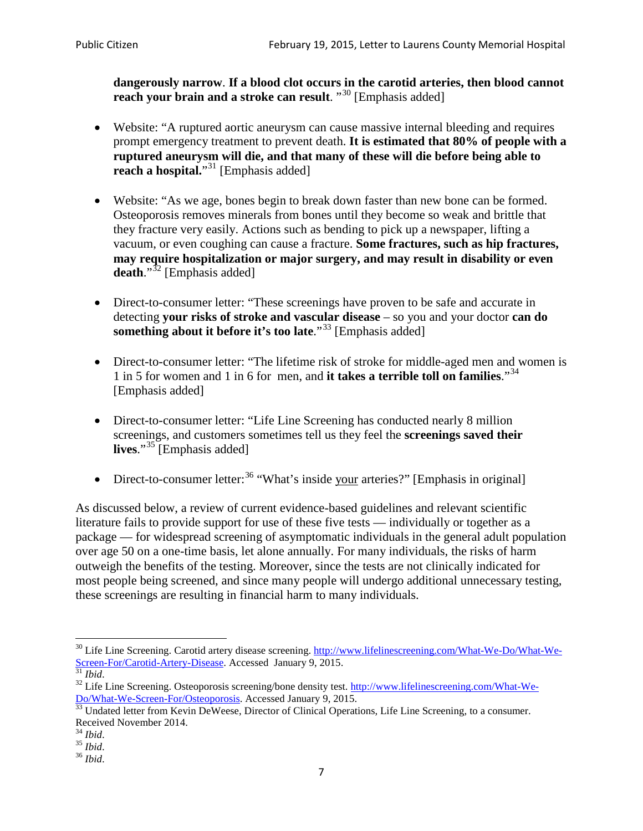**dangerously narrow**. **If a blood clot occurs in the carotid arteries, then blood cannot reach your brain and a stroke can result**. "<sup>[30](#page-6-0)</sup> [Emphasis added]

- Website: "A ruptured aortic aneurysm can cause massive internal bleeding and requires prompt emergency treatment to prevent death. **It is estimated that 80% of people with a ruptured aneurysm will die, and that many of these will die before being able to reach a hospital.**"<sup>[31](#page-6-1)</sup> [Emphasis added]
- Website: "As we age, bones begin to break down faster than new bone can be formed. Osteoporosis removes minerals from bones until they become so weak and brittle that they fracture very easily. Actions such as bending to pick up a newspaper, lifting a vacuum, or even coughing can cause a fracture. **Some fractures, such as hip fractures, may require hospitalization or major surgery, and may result in disability or even**  death."<sup>[32](#page-6-2)</sup> [Emphasis added]
- Direct-to-consumer letter: "These screenings have proven to be safe and accurate in detecting **your risks of stroke and vascular disease** – so you and your doctor **can do something about it before it's too late.**"<sup>[33](#page-6-3)</sup> [Emphasis added]
- Direct-to-consumer letter: "The lifetime risk of stroke for middle-aged men and women is 1 in 5 for women and 1 in 6 for men, and **it takes a terrible toll on families**."[34](#page-6-4) [Emphasis added]
- Direct-to-consumer letter: "Life Line Screening has conducted nearly 8 million screenings, and customers sometimes tell us they feel the **screenings saved their lives**."[35](#page-6-5) [Emphasis added]
- Direct-to-consumer letter:  $36$  "What's inside your arteries?" [Emphasis in original]

As discussed below, a review of current evidence-based guidelines and relevant scientific literature fails to provide support for use of these five tests — individually or together as a package — for widespread screening of asymptomatic individuals in the general adult population over age 50 on a one-time basis, let alone annually. For many individuals, the risks of harm outweigh the benefits of the testing. Moreover, since the tests are not clinically indicated for most people being screened, and since many people will undergo additional unnecessary testing, these screenings are resulting in financial harm to many individuals.

<span id="page-6-0"></span><sup>&</sup>lt;sup>30</sup> Life Line Screening. Carotid artery disease screening. [http://www.lifelinescreening.com/What-We-Do/What-We-](http://www.lifelinescreening.com/What-We-Do/What-We-Screen-For/Carotid-Artery-Disease)[Screen-For/Carotid-Artery-Disease.](http://www.lifelinescreening.com/What-We-Do/What-We-Screen-For/Carotid-Artery-Disease) Accessed January 9, 2015.<br><sup>31</sup> *Ibid.* 32 Life Line Screening. Osteoporosis screening/bone density test. [http://www.lifelinescreening.com/What-We-](http://www.lifelinescreening.com/What-We-Do/What-We-Screen-For/Osteoporosis)

<span id="page-6-2"></span><span id="page-6-1"></span>[Do/What-We-Screen-For/Osteoporosis.](http://www.lifelinescreening.com/What-We-Do/What-We-Screen-For/Osteoporosis) Accessed January 9, 2015. <sup>33</sup> Undated letter from Kevin DeWeese, Director of Clinical Operations, Life Line Screening, to a consumer.

<span id="page-6-3"></span>Received November 2014.<br><sup>34</sup> Ibid.

<span id="page-6-4"></span>

<span id="page-6-5"></span><sup>34</sup> *Ibid*. 35 *Ibid*. 36 *Ibid*.

<span id="page-6-6"></span>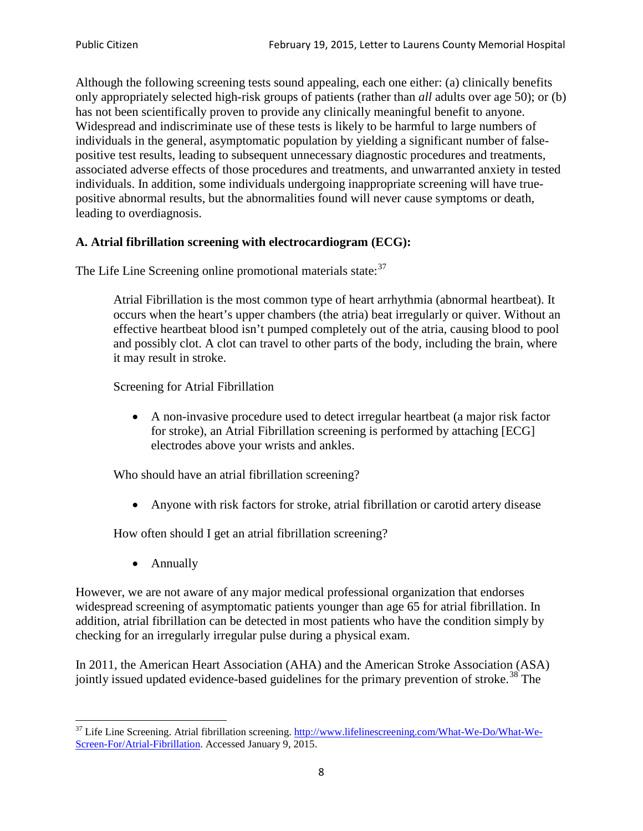Although the following screening tests sound appealing, each one either: (a) clinically benefits only appropriately selected high-risk groups of patients (rather than *all* adults over age 50); or (b) has not been scientifically proven to provide any clinically meaningful benefit to anyone. Widespread and indiscriminate use of these tests is likely to be harmful to large numbers of individuals in the general, asymptomatic population by yielding a significant number of falsepositive test results, leading to subsequent unnecessary diagnostic procedures and treatments, associated adverse effects of those procedures and treatments, and unwarranted anxiety in tested individuals. In addition, some individuals undergoing inappropriate screening will have truepositive abnormal results, but the abnormalities found will never cause symptoms or death, leading to overdiagnosis.

# **A. Atrial fibrillation screening with electrocardiogram (ECG):**

The Life Line Screening online promotional materials state:<sup>[37](#page-7-0)</sup>

Atrial Fibrillation is the most common type of heart arrhythmia (abnormal heartbeat). It occurs when the heart's upper chambers (the atria) beat irregularly or quiver. Without an effective heartbeat blood isn't pumped completely out of the atria, causing blood to pool and possibly clot. A clot can travel to other parts of the body, including the brain, where it may result in stroke.

Screening for Atrial Fibrillation

• A non-invasive procedure used to detect irregular heartbeat (a major risk factor for stroke), an Atrial Fibrillation screening is performed by attaching [ECG] electrodes above your wrists and ankles.

Who should have an atrial fibrillation screening?

• Anyone with risk factors for stroke, atrial fibrillation or carotid artery disease

How often should I get an atrial fibrillation screening?

• Annually

<span id="page-7-1"></span>However, we are not aware of any major medical professional organization that endorses widespread screening of asymptomatic patients younger than age 65 for atrial fibrillation. In addition, atrial fibrillation can be detected in most patients who have the condition simply by checking for an irregularly irregular pulse during a physical exam.

In 2011, the American Heart Association (AHA) and the American Stroke Association (ASA) jointly issued updated evidence-based guidelines for the primary prevention of stroke.<sup>[38](#page-7-1)</sup> The

<span id="page-7-0"></span><sup>&</sup>lt;sup>37</sup> Life Line Screening. Atrial fibrillation screening. [http://www.lifelinescreening.com/What-We-Do/What-We-](http://www.lifelinescreening.com/What-We-Do/What-We-Screen-For/Atrial-Fibrillation)[Screen-For/Atrial-Fibrillation.](http://www.lifelinescreening.com/What-We-Do/What-We-Screen-For/Atrial-Fibrillation) Accessed January 9, 2015.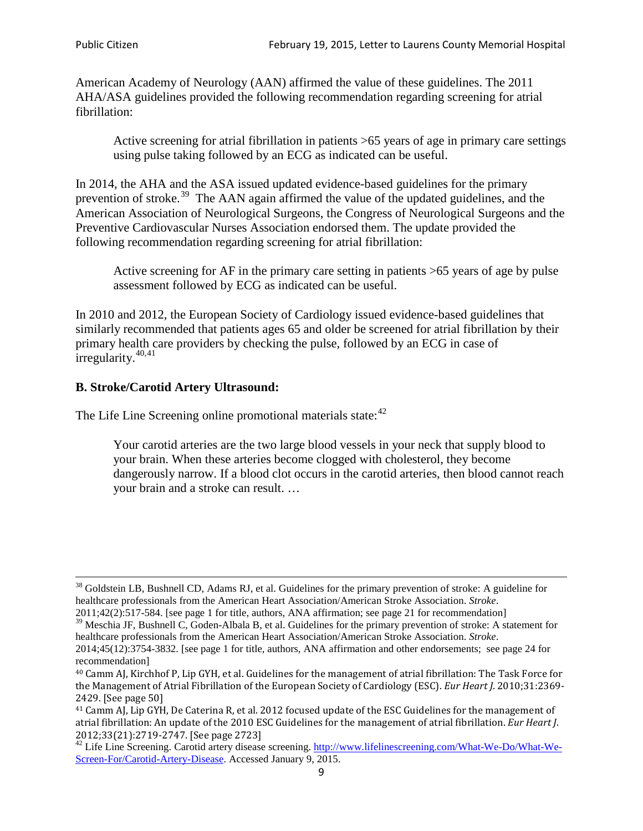American Academy of Neurology (AAN) affirmed the value of these guidelines. The 2011 AHA/ASA guidelines provided the following recommendation regarding screening for atrial fibrillation:

Active screening for atrial fibrillation in patients >65 years of age in primary care settings using pulse taking followed by an ECG as indicated can be useful.

In 2014, the AHA and the ASA issued updated evidence-based guidelines for the primary prevention of stroke.<sup>[39](#page-8-0)</sup> The AAN again affirmed the value of the updated guidelines, and the American Association of Neurological Surgeons, the Congress of Neurological Surgeons and the Preventive Cardiovascular Nurses Association endorsed them. The update provided the following recommendation regarding screening for atrial fibrillation:

Active screening for AF in the primary care setting in patients >65 years of age by pulse assessment followed by ECG as indicated can be useful.

In 2010 and 2012, the European Society of Cardiology issued evidence-based guidelines that similarly recommended that patients ages 65 and older be screened for atrial fibrillation by their primary health care providers by checking the pulse, followed by an ECG in case of irregularity. $40,41$  $40,41$ 

# **B. Stroke/Carotid Artery Ultrasound:**

The Life Line Screening online promotional materials state:<sup>[42](#page-8-3)</sup>

Your carotid arteries are the two large blood vessels in your neck that supply blood to your brain. When these arteries become clogged with cholesterol, they become dangerously narrow. If a blood clot occurs in the carotid arteries, then blood cannot reach your brain and a stroke can result. …

<sup>&</sup>lt;sup>38</sup> Goldstein LB, Bushnell CD, Adams RJ, et al. Guidelines for the primary prevention of stroke: A guideline for healthcare professionals from the American Heart Association/American Stroke Association. *Stroke*.

<sup>2011;42(2):517-584.</sup> [see page 1 for title, authors, ANA affirmation; see page 21 for recommendation]

<span id="page-8-0"></span> $\frac{2011,42(2)(317,601)}{39}$  Meschia JF, Bushnell C, Goden-Albala B, et al. Guidelines for the primary prevention of stroke: A statement for healthcare professionals from the American Heart Association/American Stroke Association. *Stroke*.

<sup>2014;45(12):3754-3832.</sup> [see page 1 for title, authors, ANA affirmation and other endorsements; see page 24 for recommendation]

<span id="page-8-1"></span><sup>40</sup> Camm AJ, Kirchhof P, Lip GYH, et al. Guidelines for the management of atrial fibrillation: The Task Force for the Management of Atrial Fibrillation of the European Society of Cardiology (ESC). *Eur Heart J*. 2010;31:2369- 2429. [See page 50]

<span id="page-8-2"></span><sup>41</sup> Camm AJ, Lip GYH, De Caterina R, et al. 2012 focused update of the ESC Guidelines for the management of atrial fibrillation: An update of the 2010 ESC Guidelines for the management of atrial fibrillation. *Eur Heart J*.

<span id="page-8-3"></span><sup>&</sup>lt;sup>2012</sup>;23(21):2719-2747. [See page 2733] 42 Life Line Screening. [http://www.lifelinescreening.com/What-We-Do/What-We-](http://www.lifelinescreening.com/What-We-Do/What-We-Screen-For/Carotid-Artery-Disease)[Screen-For/Carotid-Artery-Disease.](http://www.lifelinescreening.com/What-We-Do/What-We-Screen-For/Carotid-Artery-Disease) Accessed January 9, 2015.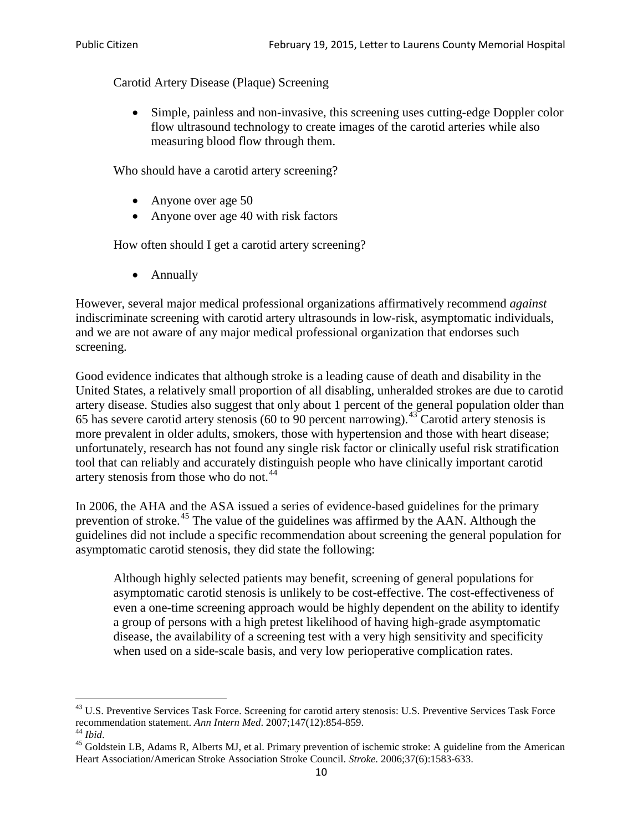Carotid Artery Disease (Plaque) Screening

• Simple, painless and non-invasive, this screening uses cutting-edge Doppler color flow ultrasound technology to create images of the carotid arteries while also measuring blood flow through them.

Who should have a carotid artery screening?

- Anyone over age 50
- Anyone over age 40 with risk factors

How often should I get a carotid artery screening?

• Annually

However, several major medical professional organizations affirmatively recommend *against* indiscriminate screening with carotid artery ultrasounds in low-risk, asymptomatic individuals, and we are not aware of any major medical professional organization that endorses such screening.

Good evidence indicates that although stroke is a leading cause of death and disability in the United States, a relatively small proportion of all disabling, unheralded strokes are due to carotid artery disease. Studies also suggest that only about 1 percent of the general population older than 65 has severe carotid artery stenosis (60 to 90 percent narrowing).<sup>[43](#page-9-0)</sup> Carotid artery stenosis is more prevalent in older adults, smokers, those with hypertension and those with heart disease; unfortunately, research has not found any single risk factor or clinically useful risk stratification tool that can reliably and accurately distinguish people who have clinically important carotid artery stenosis from those who do not.<sup>[44](#page-9-1)</sup>

In 2006, the AHA and the ASA issued a series of evidence-based guidelines for the primary prevention of stroke.<sup>[45](#page-9-2)</sup> The value of the guidelines was affirmed by the AAN. Although the guidelines did not include a specific recommendation about screening the general population for asymptomatic carotid stenosis, they did state the following:

Although highly selected patients may benefit, screening of general populations for asymptomatic carotid stenosis is unlikely to be cost-effective. The cost-effectiveness of even a one-time screening approach would be highly dependent on the ability to identify a group of persons with a high pretest likelihood of having high-grade asymptomatic disease, the availability of a screening test with a very high sensitivity and specificity when used on a side-scale basis, and very low perioperative complication rates.

<span id="page-9-0"></span> $^{43}$  U.S. Preventive Services Task Force. Screening for carotid artery stenosis: U.S. Preventive Services Task Force recommendation statement. Ann Intern Med. 2007;147(12):854-859.

<span id="page-9-2"></span><span id="page-9-1"></span><sup>&</sup>lt;sup>44</sup> *Ibid*. <sup>45</sup> Goldstein LB, Adams R, Alberts MJ, et al. Primary prevention of ischemic stroke: A guideline from the American <sup>45</sup> Goldstein LB, Adams R, Alberts MJ, et al. Primary prevention of ischemic stroke: A guide Heart Association/American Stroke Association Stroke Council. *Stroke*. 2006;37(6):1583-633.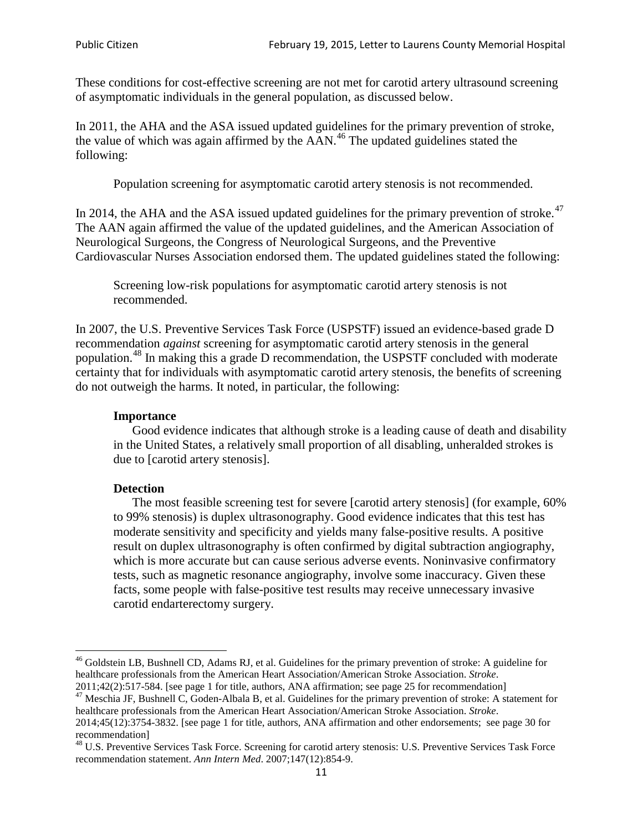These conditions for cost-effective screening are not met for carotid artery ultrasound screening of asymptomatic individuals in the general population, as discussed below.

In 2011, the AHA and the ASA issued updated guidelines for the primary prevention of stroke, the value of which was again affirmed by the  $AAN<sup>46</sup>$  $AAN<sup>46</sup>$  $AAN<sup>46</sup>$ . The updated guidelines stated the following:

Population screening for asymptomatic carotid artery stenosis is not recommended.

In 2014, the AHA and the ASA issued updated guidelines for the primary prevention of stroke.<sup>47</sup> The AAN again affirmed the value of the updated guidelines, and the American Association of Neurological Surgeons, the Congress of Neurological Surgeons, and the Preventive Cardiovascular Nurses Association endorsed them. The updated guidelines stated the following:

Screening low-risk populations for asymptomatic carotid artery stenosis is not recommended.

In 2007, the U.S. Preventive Services Task Force (USPSTF) issued an evidence-based grade D recommendation *against* screening for asymptomatic carotid artery stenosis in the general population.[48](#page-10-2) In making this a grade D recommendation, the USPSTF concluded with moderate certainty that for individuals with asymptomatic carotid artery stenosis, the benefits of screening do not outweigh the harms. It noted, in particular, the following:

#### **Importance**

Good evidence indicates that although stroke is a leading cause of death and disability in the United States, a relatively small proportion of all disabling, unheralded strokes is due to [carotid artery stenosis].

#### **Detection**

The most feasible screening test for severe [carotid artery stenosis] (for example, 60% to 99% stenosis) is duplex ultrasonography. Good evidence indicates that this test has moderate sensitivity and specificity and yields many false-positive results. A positive result on duplex ultrasonography is often confirmed by digital subtraction angiography, which is more accurate but can cause serious adverse events. Noninvasive confirmatory tests, such as magnetic resonance angiography, involve some inaccuracy. Given these facts, some people with false-positive test results may receive unnecessary invasive carotid endarterectomy surgery.

<span id="page-10-0"></span><sup>&</sup>lt;sup>46</sup> Goldstein LB, Bushnell CD, Adams RJ, et al. Guidelines for the primary prevention of stroke: A guideline for healthcare professionals from the American Heart Association/American Stroke Association. *Stroke*.<br>2011;42(2):517-584. [see page 1 for title, authors, ANA affirmation; see page 25 for recommendation]

<span id="page-10-1"></span><sup>&</sup>lt;sup>47</sup> Meschia JF, Bushnell C, Goden-Albala B, et al. Guidelines for the primary prevention of stroke: A statement for healthcare professionals from the American Heart Association/American Stroke Association. *Stroke*. 2014;45(12):3754-3832. [see page 1 for title, authors, ANA affirmation and other endorsements; see page 30 for

recommendation]<br><sup>48</sup> U.S. Preventive Services Task Force. Screening for carotid artery stenosis: U.S. Preventive Services Task Force

<span id="page-10-2"></span>recommendation statement. *Ann Intern Med*. 2007;147(12):854-9.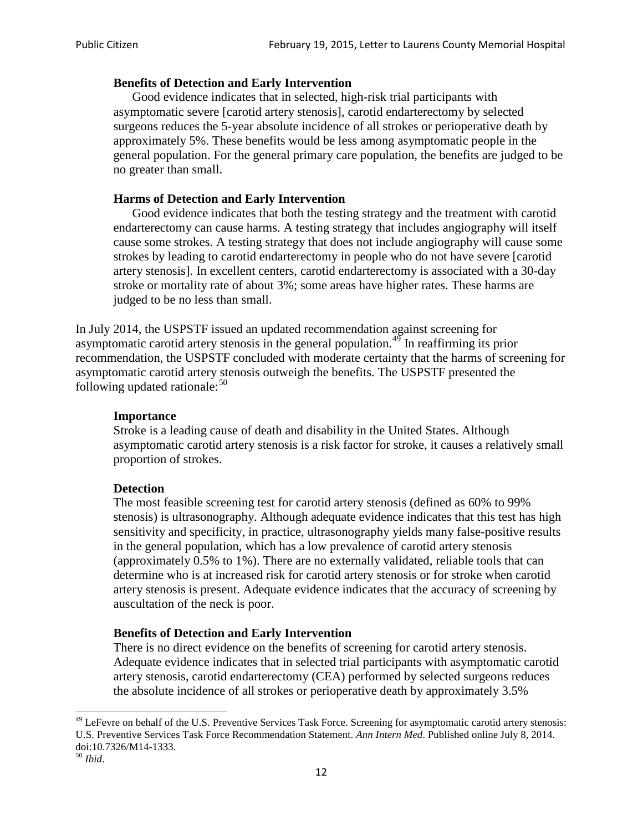#### **Benefits of Detection and Early Intervention**

Good evidence indicates that in selected, high-risk trial participants with asymptomatic severe [carotid artery stenosis], carotid endarterectomy by selected surgeons reduces the 5-year absolute incidence of all strokes or perioperative death by approximately 5%. These benefits would be less among asymptomatic people in the general population. For the general primary care population, the benefits are judged to be no greater than small.

#### **Harms of Detection and Early Intervention**

Good evidence indicates that both the testing strategy and the treatment with carotid endarterectomy can cause harms. A testing strategy that includes angiography will itself cause some strokes. A testing strategy that does not include angiography will cause some strokes by leading to carotid endarterectomy in people who do not have severe [carotid artery stenosis]. In excellent centers, carotid endarterectomy is associated with a 30-day stroke or mortality rate of about 3%; some areas have higher rates. These harms are judged to be no less than small.

In July 2014, the USPSTF issued an updated recommendation against screening for asymptomatic carotid artery stenosis in the general population.<sup>[49](#page-11-0)</sup> In reaffirming its prior recommendation, the USPSTF concluded with moderate certainty that the harms of screening for asymptomatic carotid artery stenosis outweigh the benefits. The USPSTF presented the following updated rationale: $50$ 

#### **Importance**

Stroke is a leading cause of death and disability in the United States. Although asymptomatic carotid artery stenosis is a risk factor for stroke, it causes a relatively small proportion of strokes.

#### **Detection**

The most feasible screening test for carotid artery stenosis (defined as 60% to 99% stenosis) is ultrasonography. Although adequate evidence indicates that this test has high sensitivity and specificity, in practice, ultrasonography yields many false-positive results in the general population, which has a low prevalence of carotid artery stenosis (approximately 0.5% to 1%). There are no externally validated, reliable tools that can determine who is at increased risk for carotid artery stenosis or for stroke when carotid artery stenosis is present. Adequate evidence indicates that the accuracy of screening by auscultation of the neck is poor.

## **Benefits of Detection and Early Intervention**

There is no direct evidence on the benefits of screening for carotid artery stenosis. Adequate evidence indicates that in selected trial participants with asymptomatic carotid artery stenosis, carotid endarterectomy (CEA) performed by selected surgeons reduces the absolute incidence of all strokes or perioperative death by approximately 3.5%

<span id="page-11-0"></span><sup>&</sup>lt;sup>49</sup> LeFevre on behalf of the U.S. Preventive Services Task Force. Screening for asymptomatic carotid artery stenosis: U.S. Preventive Services Task Force Recommendation Statement. *Ann Intern Med*. Published online July 8, 2014. doi:10.7326/M14-1333. <sup>50</sup> *Ibid*.

<span id="page-11-1"></span>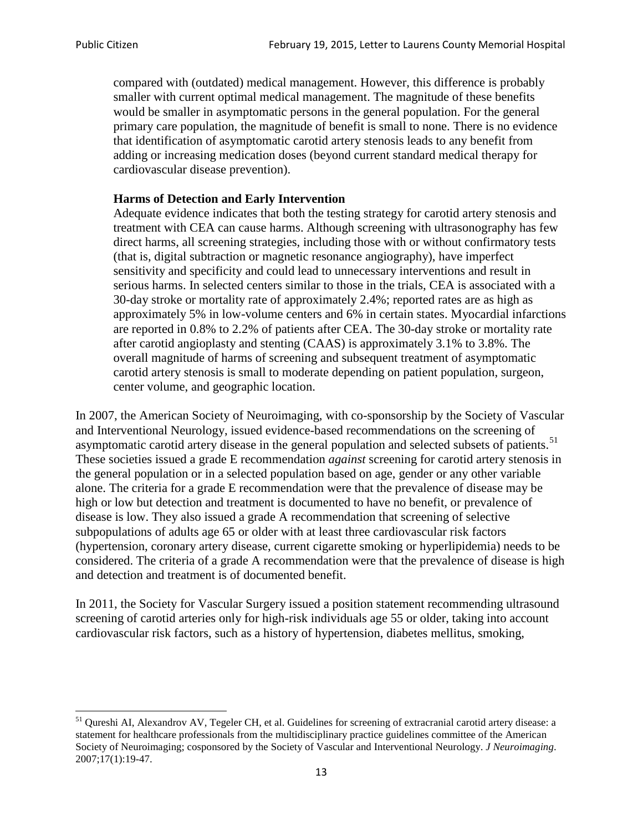compared with (outdated) medical management. However, this difference is probably smaller with current optimal medical management. The magnitude of these benefits would be smaller in asymptomatic persons in the general population. For the general primary care population, the magnitude of benefit is small to none. There is no evidence that identification of asymptomatic carotid artery stenosis leads to any benefit from adding or increasing medication doses (beyond current standard medical therapy for cardiovascular disease prevention).

# **Harms of Detection and Early Intervention**

Adequate evidence indicates that both the testing strategy for carotid artery stenosis and treatment with CEA can cause harms. Although screening with ultrasonography has few direct harms, all screening strategies, including those with or without confirmatory tests (that is, digital subtraction or magnetic resonance angiography), have imperfect sensitivity and specificity and could lead to unnecessary interventions and result in serious harms. In selected centers similar to those in the trials, CEA is associated with a 30-day stroke or mortality rate of approximately 2.4%; reported rates are as high as approximately 5% in low-volume centers and 6% in certain states. Myocardial infarctions are reported in 0.8% to 2.2% of patients after CEA. The 30-day stroke or mortality rate after carotid angioplasty and stenting (CAAS) is approximately 3.1% to 3.8%. The overall magnitude of harms of screening and subsequent treatment of asymptomatic carotid artery stenosis is small to moderate depending on patient population, surgeon, center volume, and geographic location.

In 2007, the American Society of Neuroimaging, with co-sponsorship by the Society of Vascular and Interventional Neurology, issued evidence-based recommendations on the screening of asymptomatic carotid artery disease in the general population and selected subsets of patients.<sup>[51](#page-12-0)</sup> These societies issued a grade E recommendation *against* screening for carotid artery stenosis in the general population or in a selected population based on age, gender or any other variable alone. The criteria for a grade E recommendation were that the prevalence of disease may be high or low but detection and treatment is documented to have no benefit, or prevalence of disease is low. They also issued a grade A recommendation that screening of selective subpopulations of adults age 65 or older with at least three cardiovascular risk factors (hypertension, coronary artery disease, current cigarette smoking or hyperlipidemia) needs to be considered. The criteria of a grade A recommendation were that the prevalence of disease is high and detection and treatment is of documented benefit.

In 2011, the Society for Vascular Surgery issued a position statement recommending ultrasound screening of carotid arteries only for high-risk individuals age 55 or older, taking into account cardiovascular risk factors, such as a history of hypertension, diabetes mellitus, smoking,

<span id="page-12-0"></span><sup>&</sup>lt;sup>51</sup> Qureshi AI, Alexandrov AV, Tegeler CH, et al. Guidelines for screening of extracranial carotid artery disease: a statement for healthcare professionals from the multidisciplinary practice guidelines committee of the American Society of Neuroimaging; cosponsored by the Society of Vascular and Interventional Neurology. *J Neuroimaging*. 2007;17(1):19-47.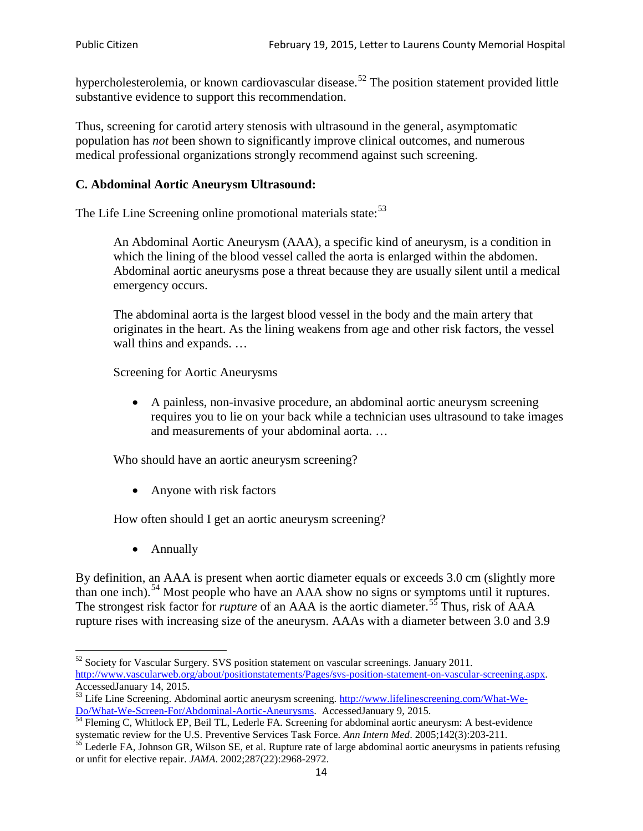hypercholesterolemia, or known cardiovascular disease.<sup>[52](#page-13-0)</sup> The position statement provided little substantive evidence to support this recommendation.

Thus, screening for carotid artery stenosis with ultrasound in the general, asymptomatic population has *not* been shown to significantly improve clinical outcomes, and numerous medical professional organizations strongly recommend against such screening.

## **C. Abdominal Aortic Aneurysm Ultrasound:**

The Life Line Screening online promotional materials state:<sup>[53](#page-13-1)</sup>

An Abdominal Aortic Aneurysm (AAA), a specific kind of aneurysm, is a condition in which the lining of the blood vessel called the aorta is enlarged within the abdomen. Abdominal aortic aneurysms pose a threat because they are usually silent until a medical emergency occurs.

The abdominal aorta is the largest blood vessel in the body and the main artery that originates in the heart. As the lining weakens from age and other risk factors, the vessel wall thins and expands. …

Screening for Aortic Aneurysms

• A painless, non-invasive procedure, an abdominal aortic aneurysm screening requires you to lie on your back while a technician uses ultrasound to take images and measurements of your abdominal aorta. …

Who should have an aortic aneurysm screening?

• Anyone with risk factors

How often should I get an aortic aneurysm screening?

• Annually

By definition, an AAA is present when aortic diameter equals or exceeds 3.0 cm (slightly more than one inch).<sup>[54](#page-13-2)</sup> Most people who have an AAA show no signs or symptoms until it ruptures. The strongest risk factor for *rupture* of an AAA is the aortic diameter.<sup>[55](#page-13-3)</sup> Thus, risk of AAA rupture rises with increasing size of the aneurysm. AAAs with a diameter between 3.0 and 3.9

<span id="page-13-0"></span><sup>&</sup>lt;sup>52</sup> Society for Vascular Surgery. SVS position statement on vascular screenings. January 2011. http://www.vascularweb.org/about/positionstatements/Pages/svs-position-statement-on-vascular-screening.aspx.<br>Accessed January 14, 2015.

<span id="page-13-1"></span>Accessed Line Screening. Abdominal aortic aneurysm screening. http://www.lifelinescreening.com/What-We-<br>Do/What-We-Screen-For/Abdominal-Aortic-Aneurysms. Accessed January 9, 2015.

<span id="page-13-2"></span> $\frac{1}{54}$  Fleming C, Whitlock EP, Beil TL, Lederle FA. Screening for abdominal aortic aneurysm: A best-evidence systematic review for the U.S. Preventive Services Task Force. *Ann Intern Med.* 2005;142(3):203-211.<br><sup>55</sup> Lederle FA, Johnson GR, Wilson SE, et al. Rupture rate of large abdominal aortic aneurysms in patients refusing

<span id="page-13-3"></span>or unfit for elective repair. *JAMA*. 2002;287(22):2968-2972.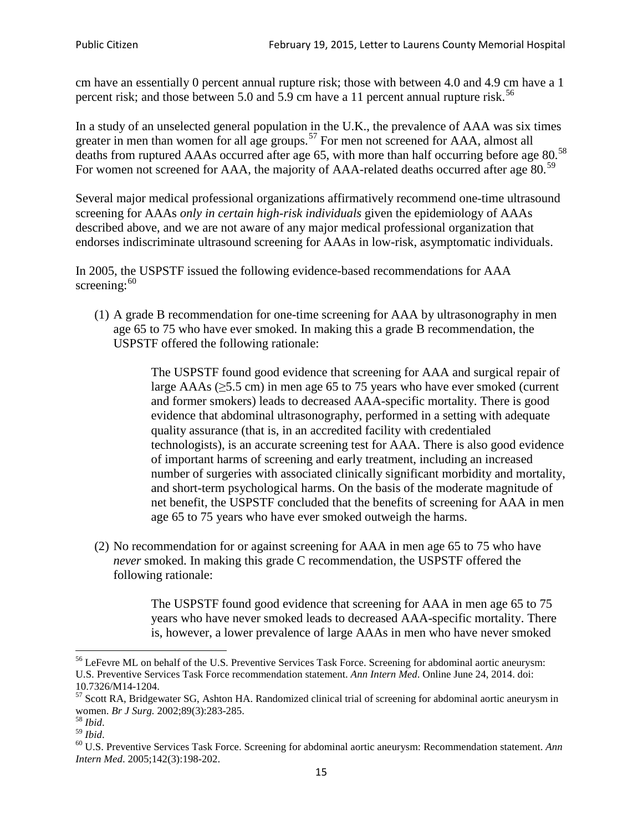cm have an essentially 0 percent annual rupture risk; those with between 4.0 and 4.9 cm have a 1 percent risk; and those between 5.0 and 5.9 cm have a 11 percent annual rupture risk.<sup>[56](#page-14-0)</sup>

In a study of an unselected general population in the U.K., the prevalence of AAA was six times greater in men than women for all age groups.<sup>[57](#page-14-1)</sup> For men not screened for  $AAA$ , almost all deaths from ruptured AAAs occurred after age 65, with more than half occurring before age 80.<sup>[58](#page-14-2)</sup> For women not screened for AAA, the majority of AAA-related deaths occurred after age 80.<sup>[59](#page-14-3)</sup>

Several major medical professional organizations affirmatively recommend one-time ultrasound screening for AAAs *only in certain high-risk individuals* given the epidemiology of AAAs described above, and we are not aware of any major medical professional organization that endorses indiscriminate ultrasound screening for AAAs in low-risk, asymptomatic individuals.

In 2005, the USPSTF issued the following evidence-based recommendations for AAA screening:  $60$ 

(1) A grade B recommendation for one-time screening for AAA by ultrasonography in men age 65 to 75 who have ever smoked. In making this a grade [B recommendation,](http://www.uspreventiveservicestaskforce.org/uspstf/gradespre.htm#brec) the USPSTF offered the following rationale:

> The USPSTF found good evidence that screening for AAA and surgical repair of large AAAs ( $\geq$ 5.5 cm) in men age 65 to 75 years who have ever smoked (current and former smokers) leads to decreased AAA-specific mortality. There is good evidence that abdominal ultrasonography, performed in a setting with adequate quality assurance (that is, in an accredited facility with credentialed technologists), is an accurate screening test for AAA. There is also good evidence of important harms of screening and early treatment, including an increased number of surgeries with associated clinically significant morbidity and mortality, and short-term psychological harms. On the basis of the moderate magnitude of net benefit, the USPSTF concluded that the benefits of screening for AAA in men age 65 to 75 years who have ever smoked outweigh the harms.

(2) No recommendation for or against screening for AAA in men age 65 to 75 who have *never* smoked. In making this grade C recommendation, the USPSTF offered the following rationale:

> The USPSTF found good evidence that screening for AAA in men age 65 to 75 years who have never smoked leads to decreased AAA-specific mortality. There is, however, a lower prevalence of large AAAs in men who have never smoked

<span id="page-14-0"></span><sup>&</sup>lt;sup>56</sup> LeFevre ML on behalf of the U.S. Preventive Services Task Force. Screening for abdominal aortic aneurysm: U.S. Preventive Services Task Force recommendation statement. *Ann Intern Med*. Online June 24, 2014. doi:

<span id="page-14-1"></span><sup>10.7326/</sup>M14-1204.<br> $57$  Scott RA, Bridgewater SG, Ashton HA. Randomized clinical trial of screening for abdominal aortic aneurysm in women. *Br J Surg.* 2002;89(3):283-285.

<span id="page-14-4"></span><span id="page-14-3"></span>

<span id="page-14-2"></span><sup>&</sup>lt;sup>58</sup> *Ibid.*<br><sup>59</sup> *Ibid.* 2002;<br><sup>60</sup> U.S. Preventive Services Task Force. Screening for abdominal aortic aneurysm: Recommendation statement. *Ann Intern Med*. 2005;142(3):198-202.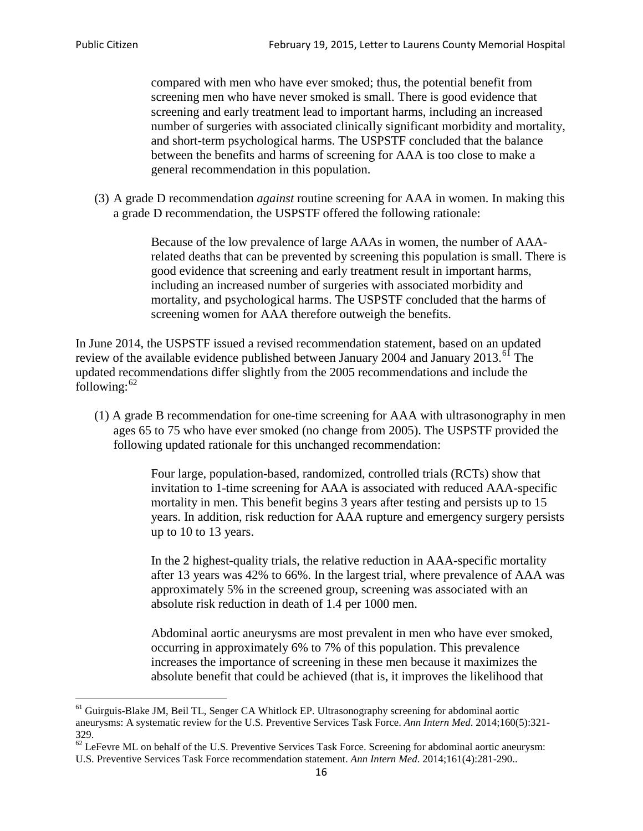compared with men who have ever smoked; thus, the potential benefit from screening men who have never smoked is small. There is good evidence that screening and early treatment lead to important harms, including an increased number of surgeries with associated clinically significant morbidity and mortality, and short-term psychological harms. The USPSTF concluded that the balance between the benefits and harms of screening for AAA is too close to make a general recommendation in this population.

(3) A grade D recommendation *against* routine screening for AAA in women. In making this a grade D recommendation, the USPSTF offered the following rationale:

> Because of the low prevalence of large AAAs in women, the number of AAArelated deaths that can be prevented by screening this population is small. There is good evidence that screening and early treatment result in important harms, including an increased number of surgeries with associated morbidity and mortality, and psychological harms. The USPSTF concluded that the harms of screening women for AAA therefore outweigh the benefits.

In June 2014, the USPSTF issued a revised recommendation statement, based on an updated review of the available evidence published between January 2004 and January 2013.<sup>[61](#page-15-0)</sup> The updated recommendations differ slightly from the 2005 recommendations and include the following: $62$ 

(1) A grade B recommendation for one-time screening for AAA with ultrasonography in men ages 65 to 75 who have ever smoked (no change from 2005). The USPSTF provided the following updated rationale for this unchanged recommendation:

> Four large, population-based, randomized, controlled trials (RCTs) show that invitation to 1-time screening for AAA is associated with reduced AAA-specific mortality in men. This benefit begins 3 years after testing and persists up to 15 years. In addition, risk reduction for AAA rupture and emergency surgery persists up to 10 to 13 years.

> In the 2 highest-quality trials, the relative reduction in AAA-specific mortality after 13 years was 42% to 66%. In the largest trial, where prevalence of AAA was approximately 5% in the screened group, screening was associated with an absolute risk reduction in death of 1.4 per 1000 men.

Abdominal aortic aneurysms are most prevalent in men who have ever smoked, occurring in approximately 6% to 7% of this population. This prevalence increases the importance of screening in these men because it maximizes the absolute benefit that could be achieved (that is, it improves the likelihood that

<span id="page-15-0"></span><sup>61</sup> Guirguis-Blake JM, Beil TL, Senger CA Whitlock EP. Ultrasonography screening for abdominal aortic aneurysms: A systematic review for the U.S. Preventive Services Task Force. *Ann Intern Med*. 2014;160(5):321- 329.

<span id="page-15-1"></span> $62$  LeFevre ML on behalf of the U.S. Preventive Services Task Force. Screening for abdominal aortic aneurysm: U.S. Preventive Services Task Force recommendation statement. *Ann Intern Med*. 2014;161(4):281-290..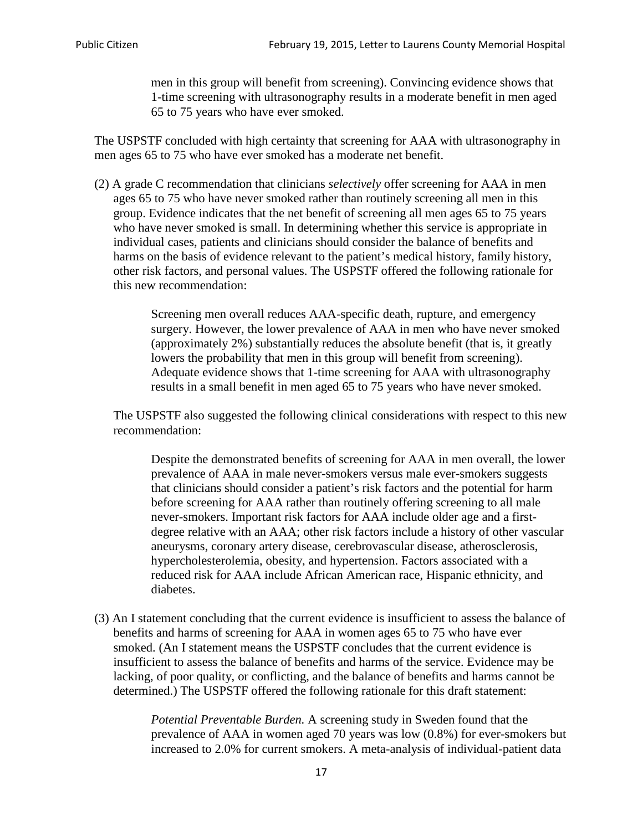men in this group will benefit from screening). Convincing evidence shows that 1-time screening with ultrasonography results in a moderate benefit in men aged 65 to 75 years who have ever smoked.

The USPSTF concluded with high certainty that screening for AAA with ultrasonography in men ages 65 to 75 who have ever smoked has a moderate net benefit.

(2) A grade C recommendation that clinicians *selectively* offer screening for AAA in men ages 65 to 75 who have never smoked rather than routinely screening all men in this group. Evidence indicates that the net benefit of screening all men ages 65 to 75 years who have never smoked is small. In determining whether this service is appropriate in individual cases, patients and clinicians should consider the balance of benefits and harms on the basis of evidence relevant to the patient's medical history, family history, other risk factors, and personal values. The USPSTF offered the following rationale for this new recommendation:

> Screening men overall reduces AAA-specific death, rupture, and emergency surgery. However, the lower prevalence of AAA in men who have never smoked (approximately 2%) substantially reduces the absolute benefit (that is, it greatly lowers the probability that men in this group will benefit from screening). Adequate evidence shows that 1-time screening for AAA with ultrasonography results in a small benefit in men aged 65 to 75 years who have never smoked.

The USPSTF also suggested the following clinical considerations with respect to this new recommendation:

Despite the demonstrated benefits of screening for AAA in men overall, the lower prevalence of AAA in male never-smokers versus male ever-smokers suggests that clinicians should consider a patient's risk factors and the potential for harm before screening for AAA rather than routinely offering screening to all male never-smokers. Important risk factors for AAA include older age and a firstdegree relative with an AAA; other risk factors include a history of other vascular aneurysms, coronary artery disease, cerebrovascular disease, atherosclerosis, hypercholesterolemia, obesity, and hypertension. Factors associated with a reduced risk for AAA include African American race, Hispanic ethnicity, and diabetes.

(3) An I statement concluding that the current evidence is insufficient to assess the balance of benefits and harms of screening for AAA in women ages 65 to 75 who have ever smoked. (An I statement means the USPSTF concludes that the current evidence is insufficient to assess the balance of benefits and harms of the service. Evidence may be lacking, of poor quality, or conflicting, and the balance of benefits and harms cannot be determined.) The USPSTF offered the following rationale for this draft statement:

> *Potential Preventable Burden.* A screening study in Sweden found that the prevalence of AAA in women aged 70 years was low (0.8%) for ever-smokers but increased to 2.0% for current smokers. A meta-analysis of individual-patient data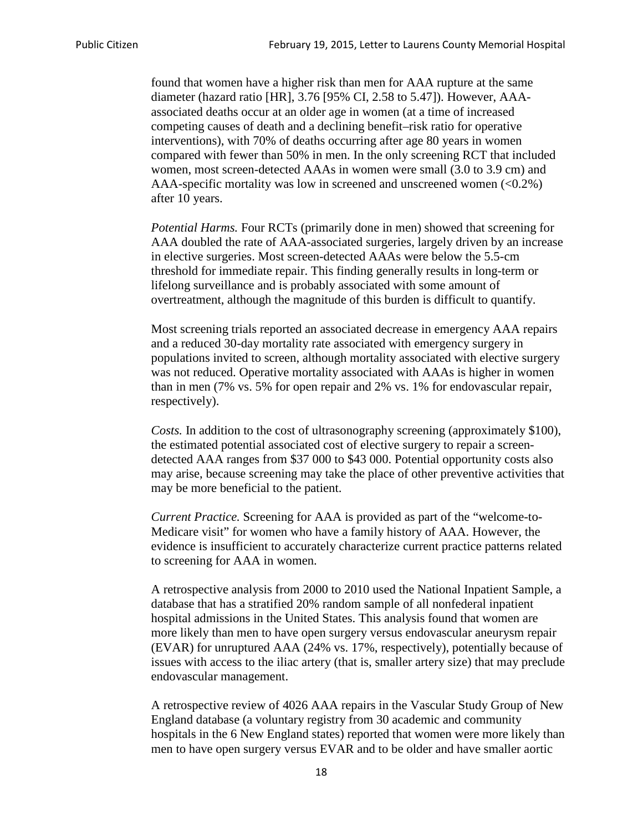found that women have a higher risk than men for AAA rupture at the same diameter (hazard ratio [HR], 3.76 [95% CI, 2.58 to 5.47]). However, AAAassociated deaths occur at an older age in women (at a time of increased competing causes of death and a declining benefit–risk ratio for operative interventions), with 70% of deaths occurring after age 80 years in women compared with fewer than 50% in men. In the only screening RCT that included women, most screen-detected AAAs in women were small (3.0 to 3.9 cm) and AAA-specific mortality was low in screened and unscreened women  $(<0.2\%)$ after 10 years.

*Potential Harms.* Four RCTs (primarily done in men) showed that screening for AAA doubled the rate of AAA-associated surgeries, largely driven by an increase in elective surgeries. Most screen-detected AAAs were below the 5.5-cm threshold for immediate repair. This finding generally results in long-term or lifelong surveillance and is probably associated with some amount of overtreatment, although the magnitude of this burden is difficult to quantify.

Most screening trials reported an associated decrease in emergency AAA repairs and a reduced 30-day mortality rate associated with emergency surgery in populations invited to screen, although mortality associated with elective surgery was not reduced. Operative mortality associated with AAAs is higher in women than in men (7% vs. 5% for open repair and 2% vs. 1% for endovascular repair, respectively).

*Costs.* In addition to the cost of ultrasonography screening (approximately \$100), the estimated potential associated cost of elective surgery to repair a screendetected AAA ranges from \$37 000 to \$43 000. Potential opportunity costs also may arise, because screening may take the place of other preventive activities that may be more beneficial to the patient.

*Current Practice.* Screening for AAA is provided as part of the "welcome-to-Medicare visit" for women who have a family history of AAA. However, the evidence is insufficient to accurately characterize current practice patterns related to screening for AAA in women.

A retrospective analysis from 2000 to 2010 used the National Inpatient Sample, a database that has a stratified 20% random sample of all nonfederal inpatient hospital admissions in the United States. This analysis found that women are more likely than men to have open surgery versus endovascular aneurysm repair (EVAR) for unruptured AAA (24% vs. 17%, respectively), potentially because of issues with access to the iliac artery (that is, smaller artery size) that may preclude endovascular management.

A retrospective review of 4026 AAA repairs in the Vascular Study Group of New England database (a voluntary registry from 30 academic and community hospitals in the 6 New England states) reported that women were more likely than men to have open surgery versus EVAR and to be older and have smaller aortic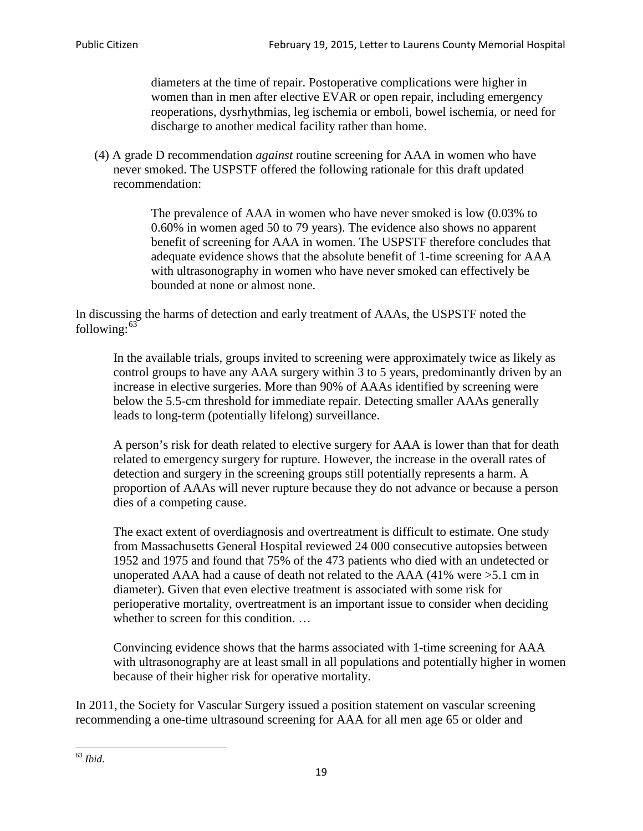diameters at the time of repair. Postoperative complications were higher in women than in men after elective EVAR or open repair, including emergency reoperations, dysrhythmias, leg ischemia or emboli, bowel ischemia, or need for discharge to another medical facility rather than home.

(4) A grade D recommendation *against* routine screening for AAA in women who have never smoked. The USPSTF offered the following rationale for this draft updated recommendation:

> The prevalence of AAA in women who have never smoked is low (0.03% to 0.60% in women aged 50 to 79 years). The evidence also shows no apparent benefit of screening for AAA in women. The USPSTF therefore concludes that adequate evidence shows that the absolute benefit of 1-time screening for AAA with ultrasonography in women who have never smoked can effectively be bounded at none or almost none.

In discussing the harms of detection and early treatment of AAAs, the USPSTF noted the following: $63$ 

In the available trials, groups invited to screening were approximately twice as likely as control groups to have any AAA surgery within 3 to 5 years, predominantly driven by an increase in elective surgeries. More than 90% of AAAs identified by screening were below the 5.5-cm threshold for immediate repair. Detecting smaller AAAs generally leads to long-term (potentially lifelong) surveillance.

A person's risk for death related to elective surgery for AAA is lower than that for death related to emergency surgery for rupture. However, the increase in the overall rates of detection and surgery in the screening groups still potentially represents a harm. A proportion of AAAs will never rupture because they do not advance or because a person dies of a competing cause.

The exact extent of overdiagnosis and overtreatment is difficult to estimate. One study from Massachusetts General Hospital reviewed 24 000 consecutive autopsies between 1952 and 1975 and found that 75% of the 473 patients who died with an undetected or unoperated AAA had a cause of death not related to the AAA (41% were >5.1 cm in diameter). Given that even elective treatment is associated with some risk for perioperative mortality, overtreatment is an important issue to consider when deciding whether to screen for this condition....

Convincing evidence shows that the harms associated with 1-time screening for AAA with ultrasonography are at least small in all populations and potentially higher in women because of their higher risk for operative mortality.

In 2011, the Society for Vascular Surgery issued a position statement on vascular screening recommending a one-time ultrasound screening for AAA for all men age 65 or older and

<span id="page-18-0"></span><sup>63</sup> *Ibid*.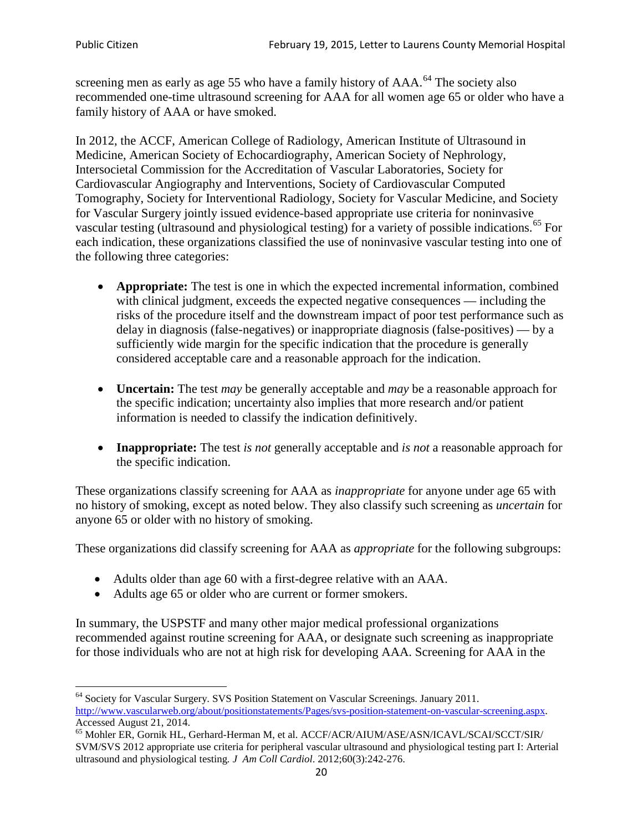screening men as early as age 55 who have a family history of AAA.<sup>[64](#page-19-0)</sup> The society also recommended one-time ultrasound screening for AAA for all women age 65 or older who have a family history of AAA or have smoked.

In 2012, the ACCF, American College of Radiology, American Institute of Ultrasound in Medicine, American Society of Echocardiography, American Society of Nephrology, Intersocietal Commission for the Accreditation of Vascular Laboratories, Society for Cardiovascular Angiography and Interventions, Society of Cardiovascular Computed Tomography, Society for Interventional Radiology, Society for Vascular Medicine, and Society for Vascular Surgery jointly issued evidence-based appropriate use criteria for noninvasive vascular testing (ultrasound and physiological testing) for a variety of possible indications.<sup>[65](#page-19-1)</sup> For each indication, these organizations classified the use of noninvasive vascular testing into one of the following three categories:

- **Appropriate:** The test is one in which the expected incremental information, combined with clinical judgment, exceeds the expected negative consequences — including the risks of the procedure itself and the downstream impact of poor test performance such as delay in diagnosis (false-negatives) or inappropriate diagnosis (false-positives) — by a sufficiently wide margin for the specific indication that the procedure is generally considered acceptable care and a reasonable approach for the indication.
- **Uncertain:** The test *may* be generally acceptable and *may* be a reasonable approach for the specific indication; uncertainty also implies that more research and/or patient information is needed to classify the indication definitively.
- **Inappropriate:** The test *is not* generally acceptable and *is not* a reasonable approach for the specific indication.

These organizations classify screening for AAA as *inappropriate* for anyone under age 65 with no history of smoking, except as noted below. They also classify such screening as *uncertain* for anyone 65 or older with no history of smoking.

These organizations did classify screening for AAA as *appropriate* for the following subgroups:

- Adults older than age 60 with a first-degree relative with an AAA.
- Adults age 65 or older who are current or former smokers.

In summary, the USPSTF and many other major medical professional organizations recommended against routine screening for AAA, or designate such screening as inappropriate for those individuals who are not at high risk for developing AAA. Screening for AAA in the

<span id="page-19-0"></span><sup>64</sup> Society for Vascular Surgery. SVS Position Statement on Vascular Screenings. January 2011. [http://www.vascularweb.org/about/positionstatements/Pages/svs-position-statement-on-vascular-screening.aspx.](http://www.vascularweb.org/about/positionstatements/Pages/svs-position-statement-on-vascular-screening.aspx) 

<span id="page-19-1"></span>Accessed August 21, 2014.<br><sup>65</sup> Mohler ER, Gornik HL, Gerhard-Herman M, et al. ACCF/ACR/AIUM/ASE/ASN/ICAVL/SCAI/SCCT/SIR/ SVM/SVS 2012 appropriate use criteria for peripheral vascular ultrasound and physiological testing part I: Arterial ultrasound and physiological testing*. J Am Coll Cardiol*. 2012;60(3):242-276.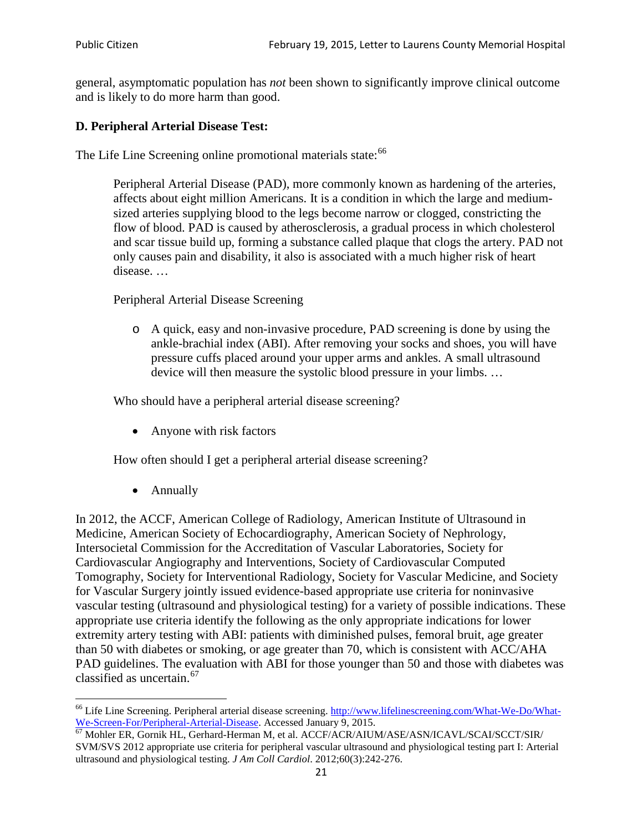general, asymptomatic population has *not* been shown to significantly improve clinical outcome and is likely to do more harm than good.

## **D. Peripheral Arterial Disease Test:**

The Life Line Screening online promotional materials state:<sup>[66](#page-20-0)</sup>

Peripheral Arterial Disease (PAD), more commonly known as hardening of the arteries, affects about eight million Americans. It is a condition in which the large and mediumsized arteries supplying blood to the legs become narrow or clogged, constricting the flow of blood. PAD is caused by atherosclerosis, a gradual process in which cholesterol and scar tissue build up, forming a substance called plaque that clogs the artery. PAD not only causes pain and disability, it also is associated with a much higher risk of heart disease. …

Peripheral Arterial Disease Screening

o A quick, easy and non-invasive procedure, PAD screening is done by using the ankle-brachial index (ABI). After removing your socks and shoes, you will have pressure cuffs placed around your upper arms and ankles. A small ultrasound device will then measure the systolic blood pressure in your limbs. …

Who should have a peripheral arterial disease screening?

• Anyone with risk factors

How often should I get a peripheral arterial disease screening?

• Annually

In 2012, the ACCF, American College of Radiology, American Institute of Ultrasound in Medicine, American Society of Echocardiography, American Society of Nephrology, Intersocietal Commission for the Accreditation of Vascular Laboratories, Society for Cardiovascular Angiography and Interventions, Society of Cardiovascular Computed Tomography, Society for Interventional Radiology, Society for Vascular Medicine, and Society for Vascular Surgery jointly issued evidence-based appropriate use criteria for noninvasive vascular testing (ultrasound and physiological testing) for a variety of possible indications. These appropriate use criteria identify the following as the only appropriate indications for lower extremity artery testing with ABI: patients with diminished pulses, femoral bruit, age greater than 50 with diabetes or smoking, or age greater than 70, which is consistent with ACC/AHA PAD guidelines. The evaluation with ABI for those younger than 50 and those with diabetes was classified as uncertain.<sup>[67](#page-20-1)</sup>

<span id="page-20-0"></span><sup>&</sup>lt;sup>66</sup> Life Line Screening. Peripheral arterial disease screening. [http://www.lifelinescreening.com/What-We-Do/What-](http://www.lifelinescreening.com/What-We-Do/What-We-Screen-For/Peripheral-Arterial-Disease)[We-Screen-For/Peripheral-Arterial-Disease.](http://www.lifelinescreening.com/What-We-Do/What-We-Screen-For/Peripheral-Arterial-Disease) Accessed January 9, 2015.<br><sup>67</sup> Mohler ER, Gornik HL, Gerhard-Herman M, et al. ACCF/ACR/AIUM/ASE/ASN/ICAVL/SCAI/SCCT/SIR/

<span id="page-20-1"></span>SVM/SVS 2012 appropriate use criteria for peripheral vascular ultrasound and physiological testing part I: Arterial ultrasound and physiological testing. *J Am Coll Cardiol*. 2012;60(3):242-276.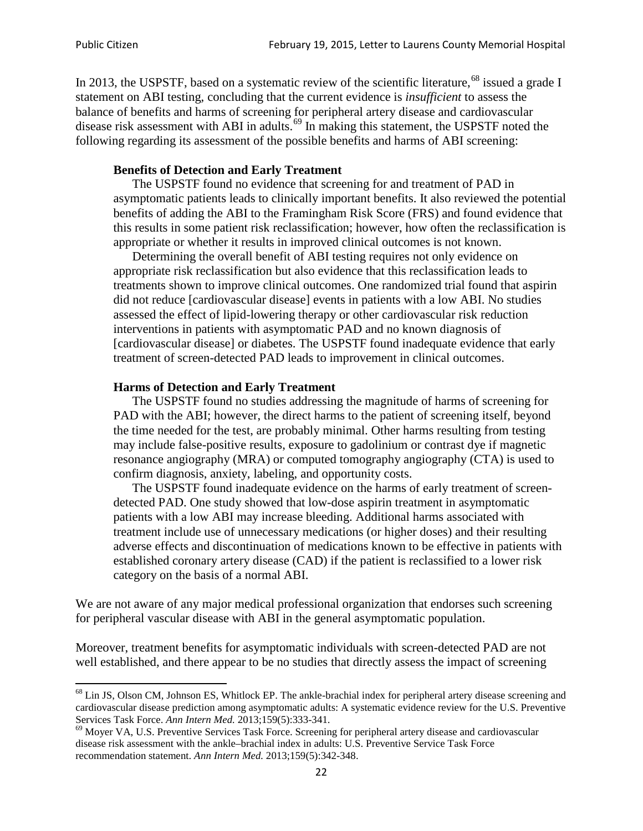In 2013, the USPSTF, based on a systematic review of the scientific literature,<sup>[68](#page-21-0)</sup> issued a grade I statement on ABI testing, concluding that the current evidence is *insufficient* to assess the balance of benefits and harms of screening for peripheral artery disease and cardiovascular disease risk assessment with ABI in adults.<sup>[69](#page-21-1)</sup> In making this statement, the USPSTF noted the following regarding its assessment of the possible benefits and harms of ABI screening:

#### **Benefits of Detection and Early Treatment**

The USPSTF found no evidence that screening for and treatment of PAD in asymptomatic patients leads to clinically important benefits. It also reviewed the potential benefits of adding the ABI to the Framingham Risk Score (FRS) and found evidence that this results in some patient risk reclassification; however, how often the reclassification is appropriate or whether it results in improved clinical outcomes is not known.

Determining the overall benefit of ABI testing requires not only evidence on appropriate risk reclassification but also evidence that this reclassification leads to treatments shown to improve clinical outcomes. One randomized trial found that aspirin did not reduce [cardiovascular disease] events in patients with a low ABI. No studies assessed the effect of lipid-lowering therapy or other cardiovascular risk reduction interventions in patients with asymptomatic PAD and no known diagnosis of [cardiovascular disease] or diabetes. The USPSTF found inadequate evidence that early treatment of screen-detected PAD leads to improvement in clinical outcomes.

#### **Harms of Detection and Early Treatment**

The USPSTF found no studies addressing the magnitude of harms of screening for PAD with the ABI; however, the direct harms to the patient of screening itself, beyond the time needed for the test, are probably minimal. Other harms resulting from testing may include false-positive results, exposure to gadolinium or contrast dye if magnetic resonance angiography (MRA) or computed tomography angiography (CTA) is used to confirm diagnosis, anxiety, labeling, and opportunity costs.

The USPSTF found inadequate evidence on the harms of early treatment of screendetected PAD. One study showed that low-dose aspirin treatment in asymptomatic patients with a low ABI may increase bleeding. Additional harms associated with treatment include use of unnecessary medications (or higher doses) and their resulting adverse effects and discontinuation of medications known to be effective in patients with established coronary artery disease (CAD) if the patient is reclassified to a lower risk category on the basis of a normal ABI.

We are not aware of any major medical professional organization that endorses such screening for peripheral vascular disease with ABI in the general asymptomatic population.

Moreover, treatment benefits for asymptomatic individuals with screen-detected PAD are not well established, and there appear to be no studies that directly assess the impact of screening

<span id="page-21-0"></span><sup>&</sup>lt;sup>68</sup> Lin JS, Olson CM, Johnson ES, Whitlock EP. The ankle-brachial index for peripheral artery disease screening and cardiovascular disease prediction among asymptomatic adults: A systematic evidence review for the U.S. Preventive Services Task Force. *Ann Intern Med.* 2013;159(5):333-341.<br><sup>69</sup> Moyer VA, U.S. Preventive Services Task Force. Screening for peripheral artery disease and cardiovascular

<span id="page-21-1"></span>disease risk assessment with the ankle–brachial index in adults: U.S. Preventive Service Task Force recommendation statement. *Ann Intern Med.* 2013;159(5):342-348.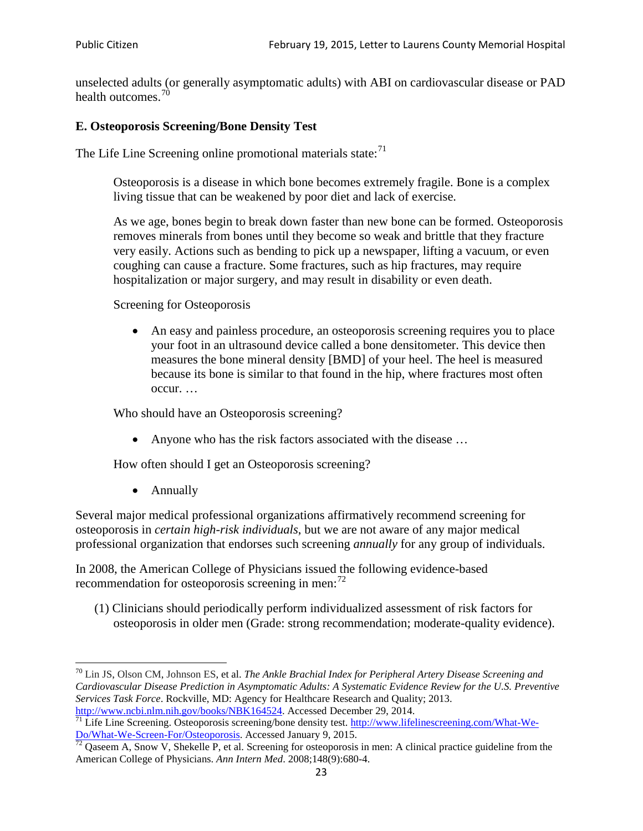unselected adults (or generally asymptomatic adults) with ABI on cardiovascular disease or PAD health outcomes.<sup>[70](#page-22-0)</sup>

## **E. Osteoporosis Screening/Bone Density Test**

The Life Line Screening online promotional materials state: $71$ 

Osteoporosis is a disease in which bone becomes extremely fragile. Bone is a complex living tissue that can be weakened by poor diet and lack of exercise.

As we age, bones begin to break down faster than new bone can be formed. Osteoporosis removes minerals from bones until they become so weak and brittle that they fracture very easily. Actions such as bending to pick up a newspaper, lifting a vacuum, or even coughing can cause a fracture. Some fractures, such as hip fractures, may require hospitalization or major surgery, and may result in disability or even death.

Screening for Osteoporosis

• An easy and painless procedure, an osteoporosis screening requires you to place your foot in an ultrasound device called a bone densitometer. This device then measures the bone mineral density [BMD] of your heel. The heel is measured because its bone is similar to that found in the hip, where fractures most often occur. …

Who should have an Osteoporosis screening?

• Anyone who has the risk factors associated with the disease ...

How often should I get an Osteoporosis screening?

• Annually

Several major medical professional organizations affirmatively recommend screening for osteoporosis in *certain high-risk individuals*, but we are not aware of any major medical professional organization that endorses such screening *annually* for any group of individuals.

In 2008, the American College of Physicians issued the following evidence-based recommendation for osteoporosis screening in men: $^{72}$  $^{72}$  $^{72}$ 

(1) Clinicians should periodically perform individualized assessment of risk factors for osteoporosis in older men (Grade: strong recommendation; moderate-quality evidence).

<span id="page-22-0"></span><sup>70</sup> [Lin JS,](http://www.ncbi.nlm.nih.gov/pubmed?term=Lin%20JS%5BAuthor%5D&cauthor=true&cauthor_uid=24156115) [Olson CM,](http://www.ncbi.nlm.nih.gov/pubmed?term=Olson%20CM%5BAuthor%5D&cauthor=true&cauthor_uid=24156115) [Johnson ES,](http://www.ncbi.nlm.nih.gov/pubmed?term=Johnson%20ES%5BAuthor%5D&cauthor=true&cauthor_uid=24156115) et al. *The Ankle Brachial Index for Peripheral Artery Disease Screening and Cardiovascular Disease Prediction in Asymptomatic Adults: A Systematic Evidence Review for the U.S. Preventive Services Task Force*. Rockville, MD: Agency for Healthcare Research and Quality; 2013.<br>http://www.ncbi.nlm.nih.gov/books/NBK164524. Accessed December 29, 2014.

<span id="page-22-1"></span> $\frac{1}{71}$  Life Line Screening. Osteoporosis screening/bone density test. [http://www.lifelinescreening.com/What-We-](http://www.lifelinescreening.com/What-We-Do/What-We-Screen-For/Osteoporosis)[Do/What-We-Screen-For/Osteoporosis.](http://www.lifelinescreening.com/What-We-Do/What-We-Screen-For/Osteoporosis) Accessed January 9, 2015. <sup>72</sup> Qaseem A, Snow V, Shekelle P, et al. Screening for osteoporosis in men: A clinical practice guideline from the

<span id="page-22-2"></span>American College of Physicians. *Ann Intern Med*. 2008;148(9):680-4.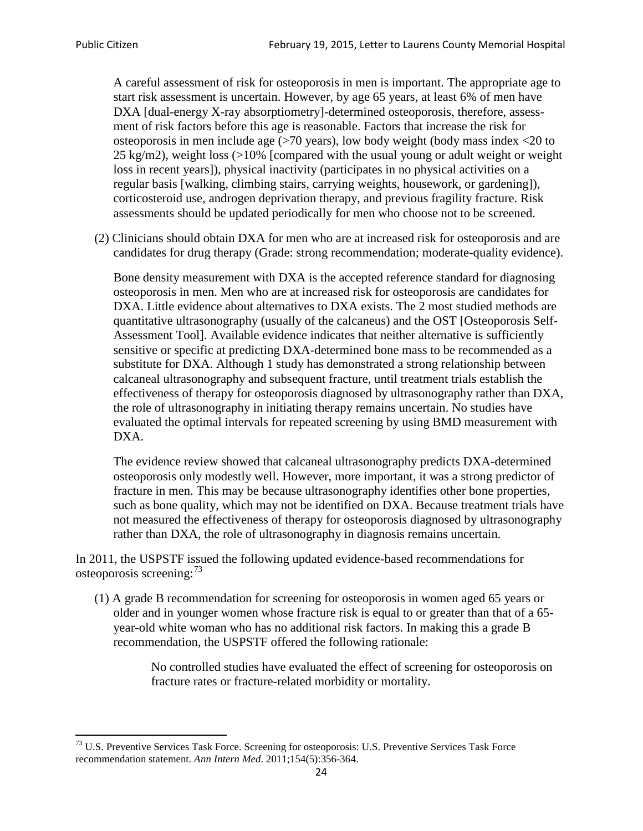A careful assessment of risk for osteoporosis in men is important. The appropriate age to start risk assessment is uncertain. However, by age 65 years, at least 6% of men have DXA [dual-energy X-ray absorptiometry]-determined osteoporosis, therefore, assessment of risk factors before this age is reasonable. Factors that increase the risk for osteoporosis in men include age (>70 years), low body weight (body mass index <20 to 25 kg/m2), weight loss  $\langle$  >10% [compared with the usual young or adult weight or weight loss in recent years]), physical inactivity (participates in no physical activities on a regular basis [walking, climbing stairs, carrying weights, housework, or gardening]), corticosteroid use, androgen deprivation therapy, and previous fragility fracture. Risk assessments should be updated periodically for men who choose not to be screened.

(2) Clinicians should obtain DXA for men who are at increased risk for osteoporosis and are candidates for drug therapy (Grade: strong recommendation; moderate-quality evidence).

Bone density measurement with DXA is the accepted reference standard for diagnosing osteoporosis in men. Men who are at increased risk for osteoporosis are candidates for DXA. Little evidence about alternatives to DXA exists. The 2 most studied methods are quantitative ultrasonography (usually of the calcaneus) and the OST [Osteoporosis Self-Assessment Tool]. Available evidence indicates that neither alternative is sufficiently sensitive or specific at predicting DXA-determined bone mass to be recommended as a substitute for DXA. Although 1 study has demonstrated a strong relationship between calcaneal ultrasonography and subsequent fracture, until treatment trials establish the effectiveness of therapy for osteoporosis diagnosed by ultrasonography rather than DXA, the role of ultrasonography in initiating therapy remains uncertain. No studies have evaluated the optimal intervals for repeated screening by using BMD measurement with DXA.

The evidence review showed that calcaneal ultrasonography predicts DXA-determined osteoporosis only modestly well. However, more important, it was a strong predictor of fracture in men. This may be because ultrasonography identifies other bone properties, such as bone quality, which may not be identified on DXA. Because treatment trials have not measured the effectiveness of therapy for osteoporosis diagnosed by ultrasonography rather than DXA, the role of ultrasonography in diagnosis remains uncertain.

In 2011, the USPSTF issued the following updated evidence-based recommendations for osteoporosis screening:<sup>[73](#page-23-0)</sup>

(1) A grade B recommendation for screening for osteoporosis in women aged 65 years or older and in younger women whose fracture risk is equal to or greater than that of a 65 year-old white woman who has no additional risk factors. In making this a grade B recommendation, the USPSTF offered the following rationale:

> No controlled studies have evaluated the effect of screening for osteoporosis on fracture rates or fracture-related morbidity or mortality.

<span id="page-23-0"></span><sup>&</sup>lt;sup>73</sup> U.S. Preventive Services Task Force. Screening for osteoporosis: U.S. Preventive Services Task Force recommendation statement. *Ann Intern Med*. 2011;154(5):356-364.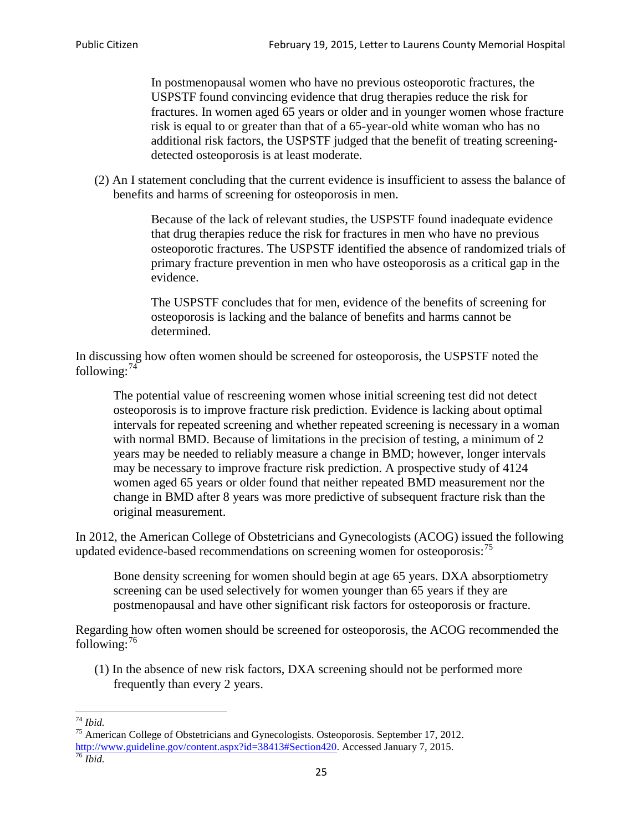In postmenopausal women who have no previous osteoporotic fractures, the USPSTF found convincing evidence that drug therapies reduce the risk for fractures. In women aged 65 years or older and in younger women whose fracture risk is equal to or greater than that of a 65-year-old white woman who has no additional risk factors, the USPSTF judged that the benefit of treating screeningdetected osteoporosis is at least moderate.

(2) An I statement concluding that the current evidence is insufficient to assess the balance of benefits and harms of screening for osteoporosis in men.

> Because of the lack of relevant studies, the USPSTF found inadequate evidence that drug therapies reduce the risk for fractures in men who have no previous osteoporotic fractures. The USPSTF identified the absence of randomized trials of primary fracture prevention in men who have osteoporosis as a critical gap in the evidence.

The USPSTF concludes that for men, evidence of the benefits of screening for osteoporosis is lacking and the balance of benefits and harms cannot be determined.

In discussing how often women should be screened for osteoporosis, the USPSTF noted the following: $74$ 

The potential value of rescreening women whose initial screening test did not detect osteoporosis is to improve fracture risk prediction. Evidence is lacking about optimal intervals for repeated screening and whether repeated screening is necessary in a woman with normal BMD. Because of limitations in the precision of testing, a minimum of 2 years may be needed to reliably measure a change in BMD; however, longer intervals may be necessary to improve fracture risk prediction. A prospective study of 4124 women aged 65 years or older found that neither repeated BMD measurement nor the change in BMD after 8 years was more predictive of subsequent fracture risk than the original measurement.

In 2012, the American College of Obstetricians and Gynecologists (ACOG) issued the following updated evidence-based recommendations on screening women for osteoporosis:<sup>[75](#page-24-1)</sup>

Bone density screening for women should begin at age 65 years. DXA absorptiometry screening can be used selectively for women younger than 65 years if they are postmenopausal and have other significant risk factors for osteoporosis or fracture.

Regarding how often women should be screened for osteoporosis, the ACOG recommended the following: $^{76}$  $^{76}$  $^{76}$ 

(1) In the absence of new risk factors, DXA screening should not be performed more frequently than every 2 years.

<span id="page-24-2"></span><span id="page-24-1"></span><span id="page-24-0"></span><sup>74</sup> *Ibid.* <sup>75</sup> American College of Obstetricians and Gynecologists. Osteoporosis. September 17, 2012. [http://www.guideline.gov/content.aspx?id=38413#Section420.](http://www.guideline.gov/content.aspx?id=38413#Section420) Accessed January 7, 2015.<br><sup>76</sup> *Ibid.*